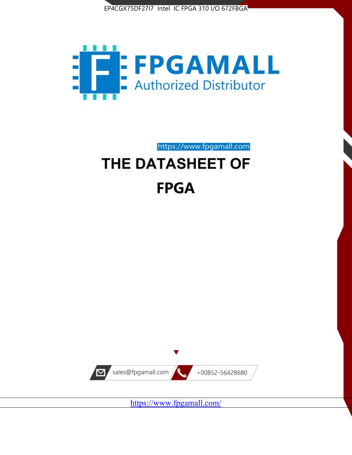



https://www.fpgamall.com

# THE DATASHEET OF **FPGA**



<https://www.fpgamall.com/>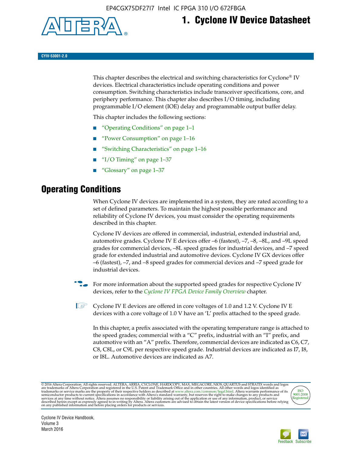

## **1. Cyclone IV Device Datasheet**

**CYIV-53001-2.0**

This chapter describes the electrical and switching characteristics for Cyclone<sup>®</sup> IV devices. Electrical characteristics include operating conditions and power consumption. Switching characteristics include transceiver specifications, core, and periphery performance. This chapter also describes I/O timing, including programmable I/O element (IOE) delay and programmable output buffer delay.

This chapter includes the following sections:

- "Operating Conditions" on page 1–1
- "Power Consumption" on page 1–16
- "Switching Characteristics" on page 1–16
- " $I/O$  Timing" on page  $1-37$
- "Glossary" on page 1–37

## **Operating Conditions**

When Cyclone IV devices are implemented in a system, they are rated according to a set of defined parameters. To maintain the highest possible performance and reliability of Cyclone IV devices, you must consider the operating requirements described in this chapter.

Cyclone IV devices are offered in commercial, industrial, extended industrial and, automotive grades. Cyclone IV E devices offer –6 (fastest), –7, –8, –8L, and –9L speed grades for commercial devices, –8L speed grades for industrial devices, and –7 speed grade for extended industrial and automotive devices. Cyclone IV GX devices offer –6 (fastest), –7, and –8 speed grades for commercial devices and –7 speed grade for industrial devices.

**For more information about the supported speed grades for respective Cyclone IV** devices, refer to the *[Cyclone IV FPGA Device Family Overview](http://www.altera.com/literature/hb/cyclone-iv/cyiv-51001.pdf)* chapter.

**1** Cyclone IV E devices are offered in core voltages of 1.0 and 1.2 V. Cyclone IV E devices with a core voltage of 1.0 V have an 'L' prefix attached to the speed grade.

In this chapter, a prefix associated with the operating temperature range is attached to the speed grades; commercial with a "C" prefix, industrial with an "I" prefix, and automotive with an "A" prefix. Therefore, commercial devices are indicated as C6, C7, C8, C8L, or C9L per respective speed grade. Industrial devices are indicated as I7, I8, or I8L. Automotive devices are indicated as A7.

@2016 Altera Corporation. All rights reserved. ALTERA, ARRIA, CYCLONE, HARDCOPY, MAX, MEGACORE, NIOS, QUARTUS and STRATIX words and logos are trademarks of Altera Corporation and registered in the U.S. Patent and Trademark



Cyclone IV Device Handbook, Volume 3 March 2016

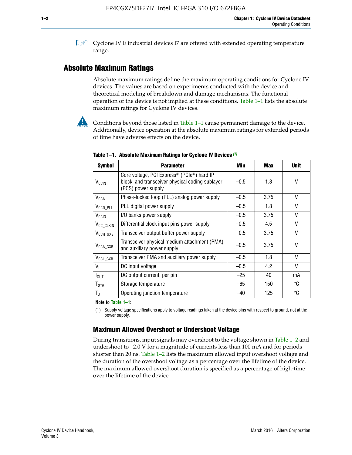**1 Cyclone IV E industrial devices I7 are offered with extended operating temperature** range.

## **Absolute Maximum Ratings**

Absolute maximum ratings define the maximum operating conditions for Cyclone IV devices. The values are based on experiments conducted with the device and theoretical modeling of breakdown and damage mechanisms. The functional operation of the device is not implied at these conditions. Table 1–1 lists the absolute maximum ratings for Cyclone IV devices.



Conditions beyond those listed in Table  $1-1$  cause permanent damage to the device. Additionally, device operation at the absolute maximum ratings for extended periods of time have adverse effects on the device.

| <b>Symbol</b>            | <b>Parameter</b>                                                                                                                             | Min    | <b>Max</b> | <b>Unit</b> |
|--------------------------|----------------------------------------------------------------------------------------------------------------------------------------------|--------|------------|-------------|
| <b>V<sub>CCINT</sub></b> | Core voltage, PCI Express <sup>®</sup> (PCIe <sup>®</sup> ) hard IP<br>block, and transceiver physical coding sublayer<br>(PCS) power supply | $-0.5$ | 1.8        | V           |
| $V_{CCA}$                | Phase-locked loop (PLL) analog power supply                                                                                                  | $-0.5$ | 3.75       | V           |
| $V_{CCD\_PLL}$           | PLL digital power supply                                                                                                                     | $-0.5$ | 1.8        | V           |
| V <sub>CCIO</sub>        | I/O banks power supply                                                                                                                       | $-0.5$ | 3.75       | V           |
| V <sub>CC_CLKIN</sub>    | Differential clock input pins power supply                                                                                                   | $-0.5$ | 4.5        | V           |
| $V_{\text{CCH_GXB}}$     | Transceiver output buffer power supply                                                                                                       | $-0.5$ | 3.75       | V           |
| $V_{\text{CCA\_GXB}}$    | Transceiver physical medium attachment (PMA)<br>and auxiliary power supply                                                                   | $-0.5$ | 3.75       | V           |
| $V_{CCL_GXB}$            | Transceiver PMA and auxiliary power supply                                                                                                   | $-0.5$ | 1.8        | V           |
| $V_{1}$                  | DC input voltage                                                                                                                             | $-0.5$ | 4.2        | V           |
| $I_{\text{OUT}}$         | DC output current, per pin                                                                                                                   | $-25$  | 40         | mA          |
| $T_{\mathtt{STG}}$       | Storage temperature                                                                                                                          | -65    | 150        | °C          |
| $T_{\rm J}$              | Operating junction temperature                                                                                                               | $-40$  | 125        | °C          |

**Table 1–1. Absolute Maximum Ratings for Cyclone IV Devices** *(1)*

**Note to Table 1–1:**

(1) Supply voltage specifications apply to voltage readings taken at the device pins with respect to ground, not at the power supply.

## **Maximum Allowed Overshoot or Undershoot Voltage**

During transitions, input signals may overshoot to the voltage shown in Table 1–2 and undershoot to –2.0 V for a magnitude of currents less than 100 mA and for periods shorter than 20 ns. Table 1–2 lists the maximum allowed input overshoot voltage and the duration of the overshoot voltage as a percentage over the lifetime of the device. The maximum allowed overshoot duration is specified as a percentage of high-time over the lifetime of the device.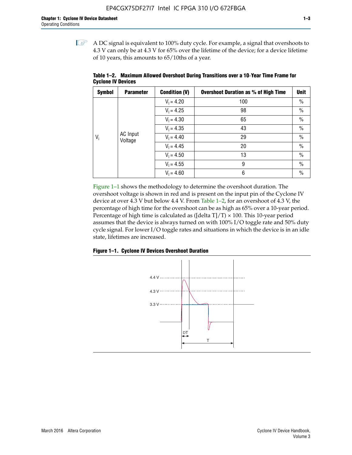$\mathbb{I}$  A DC signal is equivalent to 100% duty cycle. For example, a signal that overshoots to 4.3 V can only be at 4.3 V for 65% over the lifetime of the device; for a device lifetime of 10 years, this amounts to 65/10ths of a year.

| <b>Symbol</b> | <b>Parameter</b>    | <b>Condition (V)</b> | <b>Overshoot Duration as % of High Time</b> | Unit          |      |  |              |    |               |
|---------------|---------------------|----------------------|---------------------------------------------|---------------|------|--|--------------|----|---------------|
|               |                     | $V_1 = 4.20$         | 100                                         | $\%$          |      |  |              |    |               |
|               |                     | $V_1 = 4.25$         | 98                                          | $\%$          |      |  |              |    |               |
|               | AC Input<br>Voltage |                      | $V_1 = 4.30$                                | 65            | $\%$ |  |              |    |               |
|               |                     | $V_1 = 4.35$         | 43                                          | $\%$          |      |  |              |    |               |
| $V_i$         |                     |                      |                                             |               |      |  | $V_1 = 4.40$ | 29 | $\frac{0}{0}$ |
|               |                     | $V_1 = 4.45$         | 20                                          | $\%$          |      |  |              |    |               |
|               |                     | $V_1 = 4.50$         | 13                                          | $\%$          |      |  |              |    |               |
|               |                     | $V_1 = 4.55$         | 9                                           | $\frac{0}{0}$ |      |  |              |    |               |
|               |                     | $V_1 = 4.60$         | 6                                           | $\frac{0}{0}$ |      |  |              |    |               |

**Table 1–2. Maximum Allowed Overshoot During Transitions over a 10**-**Year Time Frame for Cyclone IV Devices**

Figure 1–1 shows the methodology to determine the overshoot duration. The overshoot voltage is shown in red and is present on the input pin of the Cyclone IV device at over 4.3 V but below 4.4 V. From Table 1–2, for an overshoot of 4.3 V, the percentage of high time for the overshoot can be as high as 65% over a 10-year period. Percentage of high time is calculated as ([delta  $T$ ]/T)  $\times$  100. This 10-year period assumes that the device is always turned on with 100% I/O toggle rate and 50% duty cycle signal. For lower I/O toggle rates and situations in which the device is in an idle state, lifetimes are increased.



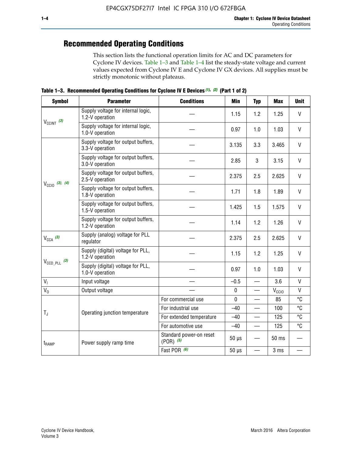## **Recommended Operating Conditions**

This section lists the functional operation limits for AC and DC parameters for Cyclone IV devices. Table 1–3 and Table 1–4 list the steady-state voltage and current values expected from Cyclone IV E and Cyclone IV GX devices. All supplies must be strictly monotonic without plateaus.

**Table 1–3. Recommended Operating Conditions for Cyclone IV E Devices** *(1)***,** *(2)* **(Part 1 of 2)**

| <b>Symbol</b>                                                                                                                                                                                                                                                                                                                                   | <b>Parameter</b>                                                                                                                                                                                                                                                                                                                                                                                                                                                        | <b>Conditions</b> | Min         | <b>Typ</b>               | <b>Max</b>     | <b>Unit</b>  |
|-------------------------------------------------------------------------------------------------------------------------------------------------------------------------------------------------------------------------------------------------------------------------------------------------------------------------------------------------|-------------------------------------------------------------------------------------------------------------------------------------------------------------------------------------------------------------------------------------------------------------------------------------------------------------------------------------------------------------------------------------------------------------------------------------------------------------------------|-------------------|-------------|--------------------------|----------------|--------------|
|                                                                                                                                                                                                                                                                                                                                                 | Supply voltage for internal logic,<br>1.2-V operation                                                                                                                                                                                                                                                                                                                                                                                                                   |                   | 1.15        | 1.2                      | 1.25           | $\mathsf{V}$ |
|                                                                                                                                                                                                                                                                                                                                                 | Supply voltage for internal logic,<br>1.0-V operation                                                                                                                                                                                                                                                                                                                                                                                                                   |                   | 0.97        | 1.0                      | 1.03           | $\mathsf{V}$ |
|                                                                                                                                                                                                                                                                                                                                                 | Supply voltage for output buffers,<br>3.3-V operation                                                                                                                                                                                                                                                                                                                                                                                                                   |                   | 3.135       | 3.3                      | 3.465          | $\vee$       |
| $V_{CClNT}$ (3)<br>3.0-V operation<br>2.5-V operation<br>$V_{\text{CC10}}$ (3), (4)<br>1.8-V operation<br>1.5-V operation<br>1.2-V operation<br>$V_{CCA}$ (3)<br>regulator<br>1.2-V operation<br>$V_{\text{CCD\_PLL}}$ (3)<br>1.0-V operation<br>V <sub>1</sub><br>Input voltage<br>$V_0$<br>Output voltage<br>$T_{\rm J}$<br>t <sub>RAMP</sub> | Supply voltage for output buffers,                                                                                                                                                                                                                                                                                                                                                                                                                                      |                   | 2.85        | 3                        | 3.15           | V            |
|                                                                                                                                                                                                                                                                                                                                                 | Supply voltage for output buffers,<br>Supply voltage for output buffers,<br>Supply voltage for output buffers,<br>Supply voltage for output buffers,<br>Supply (analog) voltage for PLL<br>Supply (digital) voltage for PLL,<br>Supply (digital) voltage for PLL,<br>For commercial use<br>For industrial use<br>Operating junction temperature<br>For extended temperature<br>For automotive use<br>Standard power-on reset<br>$(POR)$ $(5)$<br>Power supply ramp time | 2.375             | 2.5         | 2.625                    | $\vee$         |              |
|                                                                                                                                                                                                                                                                                                                                                 |                                                                                                                                                                                                                                                                                                                                                                                                                                                                         |                   | 1.71        | 1.8                      | 1.89           | V            |
|                                                                                                                                                                                                                                                                                                                                                 |                                                                                                                                                                                                                                                                                                                                                                                                                                                                         |                   | 1.425       | 1.5                      | 1.575          | $\vee$       |
|                                                                                                                                                                                                                                                                                                                                                 |                                                                                                                                                                                                                                                                                                                                                                                                                                                                         |                   | 1.14        | 1.2                      | 1.26           | $\mathsf{V}$ |
|                                                                                                                                                                                                                                                                                                                                                 |                                                                                                                                                                                                                                                                                                                                                                                                                                                                         |                   | 2.375       | 2.5                      | 2.625          | $\vee$       |
|                                                                                                                                                                                                                                                                                                                                                 |                                                                                                                                                                                                                                                                                                                                                                                                                                                                         |                   | 1.15        | 1.2                      | 1.25           | V            |
|                                                                                                                                                                                                                                                                                                                                                 |                                                                                                                                                                                                                                                                                                                                                                                                                                                                         |                   | 0.97        | 1.0                      | 1.03           | $\vee$       |
|                                                                                                                                                                                                                                                                                                                                                 |                                                                                                                                                                                                                                                                                                                                                                                                                                                                         |                   | $-0.5$      | $\overline{\phantom{0}}$ | 3.6            | $\mathsf{V}$ |
|                                                                                                                                                                                                                                                                                                                                                 |                                                                                                                                                                                                                                                                                                                                                                                                                                                                         |                   | $\pmb{0}$   | —                        | $V_{\rm CClO}$ | $\mathsf{V}$ |
|                                                                                                                                                                                                                                                                                                                                                 |                                                                                                                                                                                                                                                                                                                                                                                                                                                                         |                   | $\mathbf 0$ |                          | 85             | °C           |
|                                                                                                                                                                                                                                                                                                                                                 |                                                                                                                                                                                                                                                                                                                                                                                                                                                                         |                   | $-40$       |                          | 100            | °C           |
|                                                                                                                                                                                                                                                                                                                                                 |                                                                                                                                                                                                                                                                                                                                                                                                                                                                         |                   | $-40$       |                          | 125            | °C           |
|                                                                                                                                                                                                                                                                                                                                                 |                                                                                                                                                                                                                                                                                                                                                                                                                                                                         |                   | $-40$       | $\qquad \qquad$          | 125            | °C           |
|                                                                                                                                                                                                                                                                                                                                                 |                                                                                                                                                                                                                                                                                                                                                                                                                                                                         |                   | $50 \mu s$  |                          | 50 ms          |              |
|                                                                                                                                                                                                                                                                                                                                                 |                                                                                                                                                                                                                                                                                                                                                                                                                                                                         | Fast POR (6)      | $50 \mu s$  | $\overline{\phantom{0}}$ | 3 ms           |              |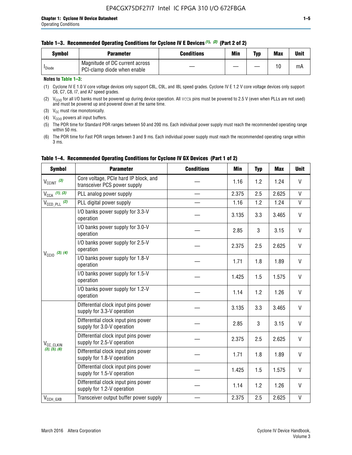| <b>Symbol</b>      | <b>Parameter</b>                                              | <b>Conditions</b> | Min | Typ | <b>Max</b> | Unit |
|--------------------|---------------------------------------------------------------|-------------------|-----|-----|------------|------|
| <sup>I</sup> Diode | Magnitude of DC current across<br>PCI-clamp diode when enable |                   |     |     | 10         | mA   |

#### **Notes to Table 1–3:**

(1) Cyclone IV E 1.0 V core voltage devices only support C8L, C9L, and I8L speed grades. Cyclone IV E 1.2 V core voltage devices only support C6, C7, C8, I7, and A7 speed grades.

(2)  $V_{CCIO}$  for all I/O banks must be powered up during device operation. All vcca pins must be powered to 2.5 V (even when PLLs are not used) and must be powered up and powered down at the same time.

(3)  $V_{CC}$  must rise monotonically.

(4)  $V_{\text{CCIO}}$  powers all input buffers.

(5) The POR time for Standard POR ranges between 50 and 200 ms. Each individual power supply must reach the recommended operating range within 50 ms.

(6) The POR time for Fast POR ranges between 3 and 9 ms. Each individual power supply must reach the recommended operating range within 3 ms.

| <b>Symbol</b>                                           | <b>Parameter</b>                                                      | <b>Conditions</b> | <b>Min</b> | <b>Typ</b> | <b>Max</b> | <b>Unit</b>  |
|---------------------------------------------------------|-----------------------------------------------------------------------|-------------------|------------|------------|------------|--------------|
| $V_{CClNT}$ (3)                                         | Core voltage, PCIe hard IP block, and<br>transceiver PCS power supply |                   | 1.16       | 1.2        | 1.24       | V            |
| $V_{CCA}$ (1), (3)                                      | PLL analog power supply                                               |                   | 2.375      | 2.5        | 2.625      | V            |
| $V_{\text{CCD\_PLL}}$ (2)                               | PLL digital power supply                                              |                   | 1.16       | 1.2        | 1.24       | $\mathsf{V}$ |
|                                                         | I/O banks power supply for 3.3-V<br>operation                         |                   | 3.135      | 3.3        | 3.465      | V            |
|                                                         | I/O banks power supply for 3.0-V<br>operation                         |                   | 2.85       | 3          | 3.15       | V            |
| $V_{\text{CC10}}$ (3), (4)                              | I/O banks power supply for 2.5-V<br>operation                         |                   | 2.375      | 2.5        | 2.625      | V            |
|                                                         | I/O banks power supply for 1.8-V<br>operation                         |                   | 1.71       | 1.8        | 1.89       | V            |
|                                                         | I/O banks power supply for 1.5-V<br>operation                         |                   | 1.425      | 1.5        | 1.575      | V            |
|                                                         | I/O banks power supply for 1.2-V<br>operation                         |                   | 1.14       | 1.2        | 1.26       | $\mathsf{V}$ |
| V <sub>CC_CLKIN</sub><br>(3), (5), (6)<br>$V_{CCH_GXB}$ | Differential clock input pins power<br>supply for 3.3-V operation     |                   | 3.135      | 3.3        | 3.465      | V            |
|                                                         | Differential clock input pins power<br>supply for 3.0-V operation     |                   | 2.85       | 3          | 3.15       | V            |
|                                                         | Differential clock input pins power<br>supply for 2.5-V operation     |                   | 2.375      | 2.5        | 2.625      | V            |
|                                                         | Differential clock input pins power<br>supply for 1.8-V operation     |                   | 1.71       | 1.8        | 1.89       | V            |
|                                                         | Differential clock input pins power<br>supply for 1.5-V operation     |                   | 1.425      | 1.5        | 1.575      | V            |
|                                                         | Differential clock input pins power<br>supply for 1.2-V operation     |                   | 1.14       | 1.2        | 1.26       | V            |
|                                                         | Transceiver output buffer power supply                                |                   | 2.375      | 2.5        | 2.625      | $\mathsf{V}$ |

### **Table 1–4. Recommended Operating Conditions for Cyclone IV GX Devices (Part 1 of 2)**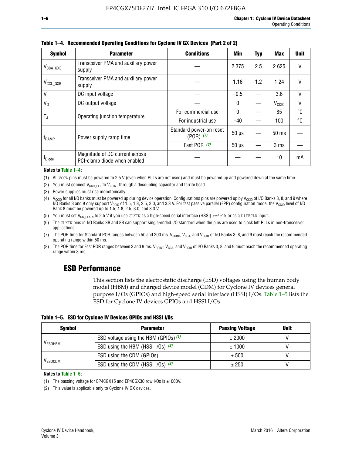| <b>Symbol</b>         | <b>Parameter</b>                                               | <b>Conditions</b>                        | <b>Min</b>   | <b>Typ</b> | <b>Max</b>        | <b>Unit</b>  |
|-----------------------|----------------------------------------------------------------|------------------------------------------|--------------|------------|-------------------|--------------|
| $V_{\text{CCA\_GXB}}$ | Transceiver PMA and auxiliary power<br>supply                  |                                          | 2.375        | 2.5        | 2.625             | V            |
| $V_{CCL_GXB}$         | Transceiver PMA and auxiliary power<br>supply                  | 1.2<br>1.16<br>1.24<br>3.6<br>$-0.5$     |              |            |                   | V            |
| V <sub>1</sub>        | DC input voltage                                               |                                          |              |            |                   | V            |
| $V_0$                 | DC output voltage                                              |                                          | $\mathbf{0}$ |            | V <sub>CCIO</sub> | $\mathsf{V}$ |
|                       | Operating junction temperature                                 | For commercial use                       | $\mathbf{0}$ |            | 85                | °C           |
| T,                    |                                                                | For industrial use                       | $-40$        |            | 100               | °C           |
| $t_{\rm{RAMP}}$       | Power supply ramp time                                         | Standard power-on reset<br>$(POR)$ $(7)$ | $50 \mu s$   |            | $50 \text{ ms}$   |              |
|                       |                                                                | Fast POR (8)                             | $50 \mu s$   |            | 3 <sub>ms</sub>   |              |
| <b>I</b> Diode        | Magnitude of DC current across<br>PCI-clamp diode when enabled |                                          |              |            | 10                | mA           |

**Table 1–4. Recommended Operating Conditions for Cyclone IV GX Devices (Part 2 of 2)**

**Notes to Table 1–4:**

- (1) All VCCA pins must be powered to 2.5 V (even when PLLs are not used) and must be powered up and powered down at the same time.
- (2) You must connect  $V_{CCD-PLL}$  to  $V_{CCINT}$  through a decoupling capacitor and ferrite bead.
- (3) Power supplies must rise monotonically.
- (4)  $V_{\text{CCIO}}$  for all I/O banks must be powered up during device operation. Configurations pins are powered up by V<sub>CCIO</sub> of I/O Banks 3, 8, and 9 where I/O Banks 3 and 9 only support V<sub>CCIO</sub> of 1.5, 1.8, 2.5, 3.0, and 3.3 V. For fast passive parallel (FPP) configuration mode, the V<sub>CCIO</sub> level of I/O<br>Bank 8 must be powered up to 1.5, 1.8, 2.5, 3.0, and 3.3 V.
- (5) You must set  $V_{CC_CCLKIN}$  to 2.5 V if you use CLKIN as a high-speed serial interface (HSSI) refclk or as a DIFFCLK input.
- (6) The CLKIN pins in I/O Banks 3B and 8B can support single-ended I/O standard when the pins are used to clock left PLLs in non-transceiver applications.
- (7) The POR time for Standard POR ranges between 50 and 200 ms.  $V_{\text{CCIA}}$ ,  $V_{\text{CCIA}}$ , and  $V_{\text{CCIO}}$  of I/O Banks 3, 8, and 9 must reach the recommended operating range within 50 ms.
- (8) The POR time for Fast POR ranges between 3 and 9 ms.  $V_{\text{CCH},T}$ ,  $V_{\text{CCA}}$ , and  $V_{\text{CCI}}$  of I/O Banks 3, 8, and 9 must reach the recommended operating range within 3 ms.

## **ESD Performance**

This section lists the electrostatic discharge (ESD) voltages using the human body model (HBM) and charged device model (CDM) for Cyclone IV devices general purpose I/Os (GPIOs) and high-speed serial interface (HSSI) I/Os. Table 1–5 lists the ESD for Cyclone IV devices GPIOs and HSSI I/Os.

| Table 1–5. ESD for Cyclone IV Devices GPIOs and HSSI I/Os |
|-----------------------------------------------------------|
|-----------------------------------------------------------|

| <b>Symbol</b>  | <b>Parameter</b>                      | <b>Passing Voltage</b> | <b>Unit</b> |
|----------------|---------------------------------------|------------------------|-------------|
|                | ESD voltage using the HBM (GPIOs) (1) | ± 2000                 |             |
| <b>VESDHBM</b> | ESD using the HBM (HSSI I/Os) (2)     | ± 1000                 |             |
|                | ESD using the CDM (GPIOs)             | ± 500                  |             |
| <b>VESDCDM</b> | ESD using the CDM (HSSI I/Os) (2)     | ± 250                  |             |

#### **Notes to Table 1–5:**

(1) The passing voltage for EP4CGX15 and EP4CGX30 row I/Os is ±1000V.

(2) This value is applicable only to Cyclone IV GX devices.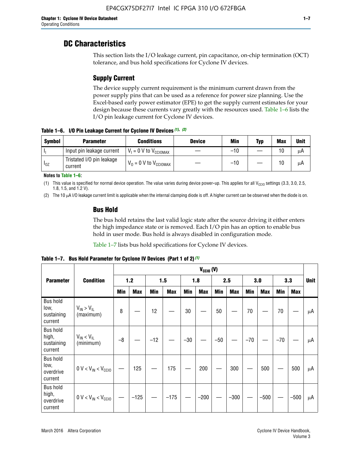## **DC Characteristics**

This section lists the I/O leakage current, pin capacitance, on-chip termination (OCT) tolerance, and bus hold specifications for Cyclone IV devices.

## **Supply Current**

The device supply current requirement is the minimum current drawn from the power supply pins that can be used as a reference for power size planning. Use the Excel-based early power estimator (EPE) to get the supply current estimates for your design because these currents vary greatly with the resources used. Table 1–6 lists the I/O pin leakage current for Cyclone IV devices.

**Table 1–6. I/O Pin Leakage Current for Cyclone IV Devices** *(1)***,** *(2)*

| <b>Symbol</b> | <b>Parameter</b>                     | <b>Conditions</b>                   | <b>Device</b> | Min   | Typ | <b>Max</b> | <b>Unit</b> |
|---------------|--------------------------------------|-------------------------------------|---------------|-------|-----|------------|-------------|
| -lı           | Input pin leakage current            | $V_1 = 0$ V to $V_{\text{CCIOMAX}}$ |               | $-10$ |     | 10         | μA          |
| $I_{0Z}$      | Tristated I/O pin leakage<br>current | $V_0 = 0$ V to $V_{\text{CCIOMAX}}$ |               | $-10$ |     | 10         | μA          |

**Notes to Table 1–6:**

(1) This value is specified for normal device operation. The value varies during device power-up. This applies for all V<sub>CCIO</sub> settings (3.3, 3.0, 2.5, 1.8, 1.5, and 1.2 V).

(2) The 10 µA I/O leakage current limit is applicable when the internal clamping diode is off. A higher current can be observed when the diode is on.

### **Bus Hold**

The bus hold retains the last valid logic state after the source driving it either enters the high impedance state or is removed. Each I/O pin has an option to enable bus hold in user mode. Bus hold is always disabled in configuration mode.

Table 1–7 lists bus hold specifications for Cyclone IV devices.

|                                                   |                                  | $V_{CCIO} (V)$ |            |       |            |            |            |            |            |       |            |       |            |             |
|---------------------------------------------------|----------------------------------|----------------|------------|-------|------------|------------|------------|------------|------------|-------|------------|-------|------------|-------------|
| <b>Parameter</b>                                  | <b>Condition</b>                 |                | 1.2        |       | 1.5        |            | 1.8        |            | 2.5        |       | 3.0        |       | 3.3        | <b>Unit</b> |
|                                                   |                                  | <b>Min</b>     | <b>Max</b> | Min   | <b>Max</b> | <b>Min</b> | <b>Max</b> | <b>Min</b> | <b>Max</b> | Min   | <b>Max</b> | Min   | <b>Max</b> |             |
| <b>Bus hold</b><br>low,<br>sustaining<br>current  | $V_{IN}$ > $V_{IL}$<br>(maximum) | 8              |            | 12    |            | 30         |            | 50         |            | 70    |            | 70    |            | μA          |
| <b>Bus hold</b><br>high,<br>sustaining<br>current | $V_{IN}$ < $V_{IL}$<br>(minimum) | $-8$           |            | $-12$ |            | $-30$      |            | $-50$      |            | $-70$ |            | $-70$ |            | μA          |
| <b>Bus hold</b><br>low,<br>overdrive<br>current   | $0 V < V_{IN} < V_{CC10}$        |                | 125        |       | 175        |            | 200        |            | 300        |       | 500        |       | 500        | μA          |
| <b>Bus hold</b><br>high,<br>overdrive<br>current  | $0 V < V_{IN} < V_{CG10}$        |                | $-125$     |       | $-175$     |            | $-200$     |            | $-300$     |       | $-500$     |       | $-500$     | μA          |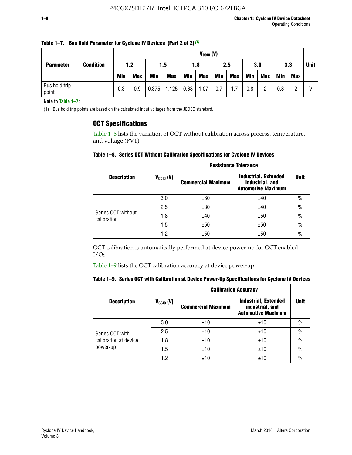| <b>Parameter</b>       |                  |            | $V_{CClO}$ (V) |            |            |      |            |     |     |     |            |            |     |             |
|------------------------|------------------|------------|----------------|------------|------------|------|------------|-----|-----|-----|------------|------------|-----|-------------|
|                        | <b>Condition</b> | 1.2        |                |            | 1.5        |      | 1.8        | 2.5 |     | 3.0 |            | 3.3        |     | <b>Unit</b> |
|                        |                  | <b>Min</b> | <b>Max</b>     | <b>Min</b> | <b>Max</b> | Min  | <b>Max</b> | Min | Max | Min | <b>Max</b> | <b>Min</b> | Max |             |
| Bus hold trip<br>point |                  | 0.3        | 0.9            | 0.375      | 1.125      | 0.68 | 1.07       | 0.7 | 1.7 | 0.8 | ŋ          | 0.8        |     | V           |

**Table 1–7. Bus Hold Parameter for Cyclone IV Devices (Part 2 of 2)** *(1)*

**Note to Table 1–7:**

(1) Bus hold trip points are based on the calculated input voltages from the JEDEC standard.

### **OCT Specifications**

Table 1–8 lists the variation of OCT without calibration across process, temperature, and voltage (PVT).

**Table 1–8. Series OCT Without Calibration Specifications for Cyclone IV Devices**

|                                   |                | <b>Resistance Tolerance</b> |                                                                             |               |
|-----------------------------------|----------------|-----------------------------|-----------------------------------------------------------------------------|---------------|
| <b>Description</b>                | $V_{CCIO} (V)$ | <b>Commercial Maximum</b>   | <b>Industrial, Extended</b><br>industrial, and<br><b>Automotive Maximum</b> | <b>Unit</b>   |
|                                   | 3.0            | ±30                         | ±40                                                                         | $\%$          |
|                                   | 2.5            | ±30                         | ±40                                                                         | $\frac{0}{0}$ |
| Series OCT without<br>calibration | 1.8            | ±40                         | ±50                                                                         | $\frac{0}{0}$ |
|                                   | 1.5            | ±50                         | ±50                                                                         | $\frac{0}{0}$ |
|                                   | 1.2            | ±50                         | ±50                                                                         | $\frac{0}{0}$ |

OCT calibration is automatically performed at device power-up for OCT-enabled I/Os.

Table 1–9 lists the OCT calibration accuracy at device power-up.

|  | Table 1–9. Series OCT with Calibration at Device Power-Up Specifications for Cyclone IV Devices |  |
|--|-------------------------------------------------------------------------------------------------|--|
|--|-------------------------------------------------------------------------------------------------|--|

|                       |                |                           | <b>Calibration Accuracy</b>                                                 |               |
|-----------------------|----------------|---------------------------|-----------------------------------------------------------------------------|---------------|
| <b>Description</b>    | $V_{CGI0} (V)$ | <b>Commercial Maximum</b> | <b>Industrial, Extended</b><br>industrial, and<br><b>Automotive Maximum</b> | <b>Unit</b>   |
|                       | 3.0            | ±10                       | ±10                                                                         | $\frac{0}{0}$ |
| Series OCT with       | 2.5            | ±10                       | ±10                                                                         | $\%$          |
| calibration at device | 1.8            | ±10                       | ±10                                                                         | $\%$          |
| power-up              | 1.5            | ±10                       | ±10                                                                         | $\frac{0}{0}$ |
|                       | 1.2            | ±10                       | ±10                                                                         | $\frac{0}{0}$ |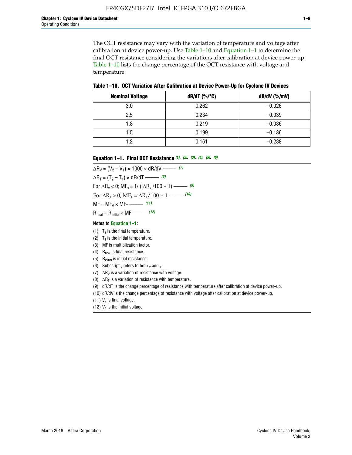The OCT resistance may vary with the variation of temperature and voltage after calibration at device power-up. Use Table 1–10 and Equation 1–1 to determine the final OCT resistance considering the variations after calibration at device power-up. Table 1–10 lists the change percentage of the OCT resistance with voltage and temperature.

**Table 1–10. OCT Variation After Calibration at Device Power**-**Up for Cyclone IV Devices**

| <b>Nominal Voltage</b> | dR/dT (%/°C) | $dR/dV$ (%/mV) |
|------------------------|--------------|----------------|
| 3.0                    | 0.262        | $-0.026$       |
| 2.5                    | 0.234        | $-0.039$       |
| 1.8                    | 0.219        | $-0.086$       |
| 1.5                    | 0.199        | $-0.136$       |
| 1.2                    | 0.161        | $-0.288$       |

#### **Equation 1–1. Final OCT Resistance** *(1)***,** *(2)***,** *(3)***,** *(4)***,** *(5)***,** *(6)*

 $\Delta R_V = (V_2 - V_1) \times 1000 \times dR/dV$  ––––––––––––(7)  $\Delta R_T = (T_2 - T_1) \times dR/dT$  ––––––– (8) For  $\Delta R_x < 0$ ; MF<sub>x</sub> = 1/ ( $|\Delta R_x|/100 + 1$ ) –––––– (9) For  $\Delta R_x > 0$ ;  $\text{MF}_x = \Delta R_x / 100 + 1$  ——– (10)  $MF = MF_V \times MF_T$  –––––––––––(11) Rfinal = Rinitial × MF ––––– *(12)*

#### **Notes to Equation 1–1:**

- (1)  $T_2$  is the final temperature.
- (2)  $T_1$  is the initial temperature.
- (3) MF is multiplication factor.
- (4)  $R<sub>final</sub>$  is final resistance.
- (5) Rinitial is initial resistance.
- (6) Subscript x refers to both  $\sqrt{v}$  and  $\sqrt{v}$ .
- (7)  $\Delta R_V$  is a variation of resistance with voltage.
- (8)  $\Delta R_T$  is a variation of resistance with temperature.
- (9) dR/dT is the change percentage of resistance with temperature after calibration at device power-up.
- (10) dR/dV is the change percentage of resistance with voltage after calibration at device power-up.
- (11)  $V_2$  is final voltage.
- (12)  $V_1$  is the initial voltage.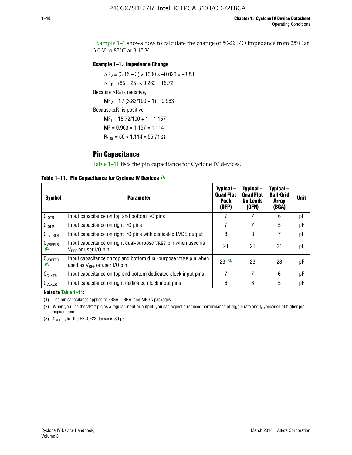Example 1-1 shows how to calculate the change of  $50$ - $\Omega$  I/O impedance from 25°C at 3.0 V to 85°C at 3.15 V.

#### **Example 1–1. Impedance Change**

 $\Delta R_V = (3.15 - 3) \times 1000 \times -0.026 = -3.83$  $\Delta R_T = (85 - 25) \times 0.262 = 15.72$ Because  $\Delta R_V$  is negative,  $MF_V = 1 / (3.83/100 + 1) = 0.963$ Because  $\Delta R_T$  is positive,  $MF_T = 15.72/100 + 1 = 1.157$  $MF = 0.963 \times 1.157 = 1.114$  $R_{final} = 50 \times 1.114 = 55.71 \Omega$ 

### **Pin Capacitance**

Table 1–11 lists the pin capacitance for Cyclone IV devices.

**Table 1–11. Pin Capacitance for Cyclone IV Devices** *(1)*

| Symbol              | <b>Parameter</b>                                                                                           | Typical-<br><b>Quad Flat</b><br><b>Pack</b><br>(QFP) | Typical-<br><b>Quad Flat</b><br><b>No Leads</b><br>(QFN) | Typical-<br><b>Ball-Grid</b><br><b>Array</b><br>(BGA) | <b>Unit</b> |
|---------------------|------------------------------------------------------------------------------------------------------------|------------------------------------------------------|----------------------------------------------------------|-------------------------------------------------------|-------------|
| C <sub>IOTB</sub>   | Input capacitance on top and bottom I/O pins                                                               |                                                      |                                                          | 6                                                     | рF          |
| $C_{IOLR}$          | Input capacitance on right I/O pins                                                                        |                                                      |                                                          | 5                                                     | рF          |
| $C_{LVDSLR}$        | Input capacitance on right I/O pins with dedicated LVDS output                                             | 8                                                    | 8                                                        |                                                       | рF          |
| $C_{VREFLR}$<br>(2) | Input capacitance on right dual-purpose VREF pin when used as<br>$V_{BFE}$ or user I/O pin                 | 21                                                   | 21                                                       | 21                                                    | pF          |
| $C_{VREFTB}$<br>(2) | Input capacitance on top and bottom dual-purpose VREF pin when<br>used as $V_{\text{RFF}}$ or user I/O pin | 23(3)                                                | 23                                                       | 23                                                    | pF          |
| $C_{CLKTB}$         | Input capacitance on top and bottom dedicated clock input pins                                             | 7                                                    | 7                                                        | 6                                                     | pF          |
| $C_{CLKLR}$         | Input capacitance on right dedicated clock input pins                                                      | 6                                                    | 6                                                        | 5                                                     | рF          |

#### **Notes to Table 1–11:**

(1) The pin capacitance applies to FBGA, UBGA, and MBGA packages.

(2) When you use the VREF pin as a regular input or output, you can expect a reduced performance of toggle rate and  $t_{\rm CO}$  because of higher pin capacitance.

(3) CVREFTB for the EP4CE22 device is 30 pF.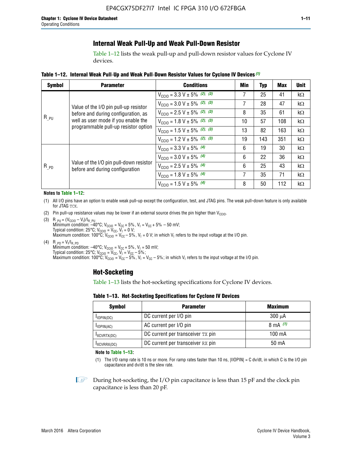### **Internal Weak Pull-Up and Weak Pull-Down Resistor**

Table 1–12 lists the weak pull-up and pull-down resistor values for Cyclone IV devices.

**Table 1–12. Internal Weak Pull**-**Up and Weak Pull**-**Down Resistor Values for Cyclone IV Devices** *(1)*

| <b>Symbol</b> | <b>Parameter</b>                                                            | <b>Conditions</b>                                  | Min | <b>Typ</b>                                                                                                                              | <b>Max</b> | <b>Unit</b> |
|---------------|-----------------------------------------------------------------------------|----------------------------------------------------|-----|-----------------------------------------------------------------------------------------------------------------------------------------|------------|-------------|
| $R_{PU}$      |                                                                             | $V_{\text{CC10}} = 3.3 \text{ V} \pm 5\%$ (2), (3) | 7   | 25                                                                                                                                      | 41         | $k\Omega$   |
|               | Value of the I/O pin pull-up resistor                                       | $V_{\text{CC10}} = 3.0 \text{ V} \pm 5\%$ (2), (3) | 7   | 28                                                                                                                                      | 47         | $k\Omega$   |
|               | before and during configuration, as                                         | $V_{\text{CC10}} = 2.5 V \pm 5\%$ (2), (3)         | 8   | 35                                                                                                                                      | 61         | $k\Omega$   |
|               | well as user mode if you enable the<br>programmable pull-up resistor option | $V_{\text{CC10}} = 1.8 V \pm 5\%$ (2), (3)         | 10  | 57                                                                                                                                      | 108        | $k\Omega$   |
|               |                                                                             | $V_{\text{CC10}} = 1.5 V \pm 5\%$ (2), (3)         | 13  | 82                                                                                                                                      | 163        | $k\Omega$   |
|               |                                                                             | $V_{\text{CC10}} = 1.2 V \pm 5\%$ (2), (3)         | 19  | 143<br>351<br>kΩ<br>19<br>30<br>$k\Omega$<br>22<br>36<br>$k\Omega$<br>25<br>43<br>$k\Omega$<br>35<br>71<br>$k\Omega$<br>50<br>112<br>kΩ |            |             |
|               |                                                                             | $V_{\text{CC10}} = 3.3 V \pm 5\%$ (4)              | 6   |                                                                                                                                         |            |             |
|               |                                                                             | $V_{\text{CC10}} = 3.0 V \pm 5\%$ (4)              | 6   |                                                                                                                                         |            |             |
| $R_{PD}$      | Value of the I/O pin pull-down resistor<br>before and during configuration  | $V_{\text{CC10}} = 2.5 V \pm 5\%$ (4)              | 6   |                                                                                                                                         |            |             |
|               |                                                                             | $V_{\text{CC10}} = 1.8 V \pm 5\%$ (4)              | 7   |                                                                                                                                         |            |             |
|               |                                                                             | $V_{\text{CC10}} = 1.5 V \pm 5\%$ (4)              | 8   |                                                                                                                                         |            |             |

#### **Notes to Table 1–12:**

- (1) All I/O pins have an option to enable weak pull-up except the configuration, test, and JTAG pins. The weak pull-down feature is only available for JTAG TCK.
- (2) Pin pull-up resistance values may be lower if an external source drives the pin higher than  $V_{\text{CCIO}}$ .
- (3)  $R_{PU} = (V_{CC10} V_1)/I_{R_PU}$ Minimum condition: –40°C; V<sub>CCIO</sub> = V<sub>CC</sub> + 5%, V<sub>I</sub> = V<sub>CC</sub> + 5% – 50 mV; Typical condition: 25°C; V<sub>CCIO</sub> = V<sub>CC</sub>, V<sub>I</sub> = 0 V; Maximum condition: 100°C;  $V_{\text{CCIO}} = V_{\text{CC}} - 5\%$ ,  $V_1 = 0$  V; in which V<sub>I</sub> refers to the input voltage at the I/O pin.
- (4)  $R_{PD} = V_I/I_{R_PD}$ Minimum condition:  $-40^{\circ}$ C; V<sub>CCIO</sub> = V<sub>CC</sub> + 5%, V<sub>I</sub> = 50 mV; Typical condition: 25°C;  $V_{\text{CCIO}} = V_{\text{CC}}$ ,  $V_{\text{I}} = V_{\text{CC}} - 5\%$ ; Maximum condition: 100°C; V<sub>CClO</sub> = V<sub>CC</sub> – 5%, V<sub>I</sub> = V<sub>CC</sub> – 5%; in which V<sub>I</sub> refers to the input voltage at the I/O pin.

### **Hot-Socketing**

Table 1–13 lists the hot-socketing specifications for Cyclone IV devices.

**Table 1–13. Hot**-**Socketing Specifications for Cyclone IV Devices**

| <b>Symbol</b> | <b>Parameter</b>                  | <b>Maximum</b> |
|---------------|-----------------------------------|----------------|
| $I$ IOPIN(DC) | DC current per I/O pin            | $300 \mu A$    |
| $I$ IOPIN(AC) | AC current per I/O pin            | 8 mA $(1)$     |
| IXCVRTX(DC)   | DC current per transceiver TX pin | 100 mA         |
| IXCVRRX(DC)   | DC current per transceiver RX pin | 50 mA          |

**Note to Table 1–13:**

(1) The I/O ramp rate is 10 ns or more. For ramp rates faster than 10 ns, |IIOPIN| = C dv/dt, in which C is the I/O pin capacitance and dv/dt is the slew rate.

 $\mathbb{I} \rightarrow \mathbb{I}$  During hot-socketing, the I/O pin capacitance is less than 15 pF and the clock pin capacitance is less than 20 pF.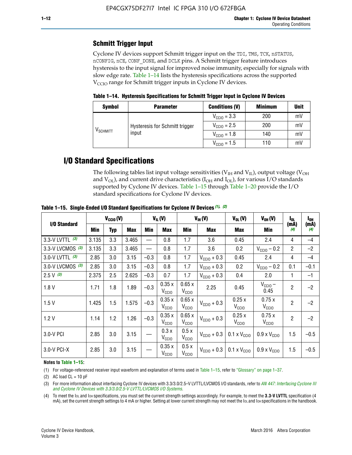## **Schmitt Trigger Input**

Cyclone IV devices support Schmitt trigger input on the TDI, TMS, TCK, nSTATUS, nCONFIG, nCE, CONF\_DONE, and DCLK pins. A Schmitt trigger feature introduces hysteresis to the input signal for improved noise immunity, especially for signals with slow edge rate. Table 1–14 lists the hysteresis specifications across the supported  $V<sub>CCIO</sub>$  range for Schmitt trigger inputs in Cyclone IV devices.

**Table 1–14. Hysteresis Specifications for Schmitt Trigger Input in Cyclone IV Devices**

| <b>Symbol</b>                  | <b>Parameter</b>               | <b>Conditions (V)</b>   | <b>Minimum</b> | <b>Unit</b> |
|--------------------------------|--------------------------------|-------------------------|----------------|-------------|
|                                |                                | $V_{\text{CGI0}} = 3.3$ | 200            | mV          |
|                                | Hysteresis for Schmitt trigger | $V_{\text{CC10}} = 2.5$ | 200            | mV          |
| $\mathsf{V}_{\mathsf{SCHMIT}}$ | input                          | $V_{\text{CCIO}} = 1.8$ | 140            | mV          |
|                                | $V_{\text{CCIO}} = 1.5$        |                         | 110            | m           |

## **I/O Standard Specifications**

The following tables list input voltage sensitivities ( $V<sub>IH</sub>$  and  $V<sub>II</sub>$ ), output voltage ( $V<sub>OH</sub>$ and  $V_{OL}$ ), and current drive characteristics ( $I_{OH}$  and  $I_{OL}$ ), for various I/O standards supported by Cyclone IV devices. Table 1–15 through Table 1–20 provide the I/O standard specifications for Cyclone IV devices.

|                    |       | $V_{CCl0}(V)$ |            |        | $V_{IL}(V)$                |                            | $V_{IH} (V)$            | $V_{OL}(V)$                  | $V_{OH} (V)$                 | l <sub>OL</sub> | $I_{0H}$    |
|--------------------|-------|---------------|------------|--------|----------------------------|----------------------------|-------------------------|------------------------------|------------------------------|-----------------|-------------|
| I/O Standard       | Min   |               | <b>Max</b> | Min    | <b>Max</b>                 | <b>Min</b>                 | Max                     | Max                          | Min                          | (mA)<br>(4)     | (mA)<br>(4) |
| 3.3-V LVTTL (3)    | 3.135 | 3.3           | 3.465      |        | 0.8                        | 1.7                        | 3.6                     | 0.45                         | 2.4                          | 4               | $-4$        |
| 3.3-V LVCMOS $(3)$ | 3.135 | 3.3           | 3.465      |        | 0.8                        | 1.7                        | 3.6                     | 0.2                          | $V_{\text{CCIO}}$ – 0.2      | $\overline{2}$  | $-2$        |
| 3.0-V LVTTL $(3)$  | 2.85  | 3.0           | 3.15       | $-0.3$ | 0.8                        | 1.7                        | $V_{\text{CC10}} + 0.3$ | 0.45                         | 2.4                          | 4               | $-4$        |
| 3.0-V LVCMOS (3)   | 2.85  | 3.0           | 3.15       | $-0.3$ | 0.8                        | 1.7                        | $V_{\text{CCIO}} + 0.3$ | 0.2                          | $V_{\text{CC10}} - 0.2$      | 0.1             | $-0.1$      |
| $2.5 V$ (3)        | 2.375 | 2.5           | 2.625      | $-0.3$ | 0.7                        | 1.7                        | $V_{\text{CCI0}} + 0.3$ | 0.4                          | 2.0                          | $\mathbf{1}$    | $-1$        |
| 1.8V               | 1.71  | 1.8           | 1.89       | $-0.3$ | 0.35x<br>V <sub>CCIO</sub> | 0.65x<br>V <sub>CCIO</sub> | 2.25                    | 0.45                         | $V_{CGIO}$ –<br>0.45         | $\overline{2}$  | $-2$        |
| 1.5V               | 1.425 | 1.5           | 1.575      | $-0.3$ | 0.35x<br>V <sub>CCIO</sub> | 0.65x<br>V <sub>CCIO</sub> | $V_{\text{CC10}} + 0.3$ | 0.25x<br>V <sub>CCIO</sub>   | 0.75x<br>V <sub>CCIO</sub>   | $\overline{2}$  | $-2$        |
| 1.2V               | 1.14  | 1.2           | 1.26       | $-0.3$ | 0.35x<br>V <sub>CCIO</sub> | 0.65x<br>V <sub>CCIO</sub> | $V_{\text{CC10}} + 0.3$ | 0.25x<br>V <sub>CCIO</sub>   | 0.75x<br>V <sub>CCIO</sub>   | $\overline{2}$  | $-2$        |
| 3.0-V PCI          | 2.85  | 3.0           | 3.15       |        | 0.3x<br>V <sub>CCIO</sub>  | 0.5x<br>V <sub>CCIO</sub>  | $V_{\text{CCI0}} + 0.3$ | $0.1 \times V_{\text{CCIO}}$ | $0.9 \times V_{\text{CC10}}$ | 1.5             | $-0.5$      |
| $3.0-V$ PCI-X      | 2.85  | 3.0           | 3.15       |        | 0.35x<br>V <sub>CCIO</sub> | 0.5x<br>V <sub>CCIO</sub>  | $V_{\text{CGI0}} + 0.3$ | $0.1 \times V_{\text{CCIO}}$ | $0.9 \times V_{\text{CC10}}$ | 1.5             | $-0.5$      |

**Table 1–15. Single**-**Ended I/O Standard Specifications for Cyclone IV Devices** *(1)***,** *(2)*

#### **Notes to Table 1–15:**

(1) For voltage-referenced receiver input waveform and explanation of terms used in Table 1–15, refer to "Glossary" on page 1–37.

(2) AC load  $CL = 10$  pF

(3) For more information about interfacing Cyclone IV devices with 3.3/3.0/2.5-V LVTTL/LVCMOS I/O standards, refer to *[AN 447: Interfacing Cyclone III](http://www.altera.com/literature/an/an447.pdf)  [and Cyclone IV Devices with 3.3/3.0/2.5-V LVTTL/LVCMOS I/O Systems](http://www.altera.com/literature/an/an447.pdf)*.

(4) To meet the IOL and IOH specifications, you must set the current strength settings accordingly. For example, to meet the **3.3-V LVTTL** specification (4 mA), set the current strength settings to 4 mA or higher. Setting at lower current strength may not meet the lou and lon specifications in the handbook.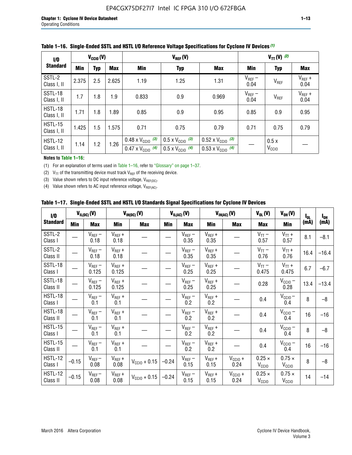| 1/0                           |            | $V_{CGI0}(V)$ |            |                                                                        | $V_{REF}(V)$                                                         |                                                                        |                     | $V_{TT} (V)$ (2)          |                     |
|-------------------------------|------------|---------------|------------|------------------------------------------------------------------------|----------------------------------------------------------------------|------------------------------------------------------------------------|---------------------|---------------------------|---------------------|
| <b>Standard</b>               | <b>Min</b> | <b>Typ</b>    | <b>Max</b> | Min                                                                    | <b>Typ</b>                                                           | <b>Max</b>                                                             | Min                 | <b>Typ</b>                | Max                 |
| SSTL-2<br>Class I, II         | 2.375      | 2.5           | 2.625      | 1.19                                                                   | 1.25                                                                 | 1.31                                                                   | $V_{REF}$ –<br>0.04 | V <sub>REF</sub>          | $V_{REF}$ +<br>0.04 |
| SSTL-18<br>Class I, II        | 1.7        | 1.8           | 1.9        | 0.833                                                                  | 0.9                                                                  | 0.969                                                                  | $V_{REF}$ –<br>0.04 | V <sub>REF</sub>          | $V_{REF}$ +<br>0.04 |
| HSTL-18<br>Class I, II        | 1.71       | 1.8           | .89        | 0.85                                                                   | 0.9<br>0.95                                                          |                                                                        | 0.85                | 0.9                       | 0.95                |
| <b>HSTL-15</b><br>Class I, II | 1.425      | 1.5           | 1.575      | 0.71                                                                   | 0.75<br>0.79                                                         |                                                                        | 0.71                | 0.75                      | 0.79                |
| HSTL-12<br>Class I, II        | 1.14       | 1.2           | 1.26       | $0.48 \times V_{\text{CC10}}$ (3)<br>$0.47 \times V_{\text{CC10}}$ (4) | $0.5 \times V_{\text{CC10}}$ (3)<br>$0.5 \times V_{\text{CC10}}$ (4) | $0.52 \times V_{\text{CC10}}$ (3)<br>$0.53 \times V_{\text{CC10}}$ (4) |                     | 0.5x<br>V <sub>CCIO</sub> |                     |

#### **Table 1–16. Single**-**Ended SSTL and HSTL I/O Reference Voltage Specifications for Cyclone IV Devices** *(1)*

#### **Notes to Table 1–16:**

(1) For an explanation of terms used in Table 1–16, refer to "Glossary" on page 1–37.

(2)  $V_{TT}$  of the transmitting device must track  $V_{REF}$  of the receiving device.

(3) Value shown refers to DC input reference voltage,  $V_{REF(DC)}$ .

(4) Value shown refers to AC input reference voltage,  $V_{REF(AC)}$ .

|  |  |  |  |  | Table 1–17.  Single-Ended SSTL and HSTL I/O Standards Signal Specifications for Cyclone IV Devices |
|--|--|--|--|--|----------------------------------------------------------------------------------------------------|
|--|--|--|--|--|----------------------------------------------------------------------------------------------------|

| I/O                        |         | $V_{IL(DC)}(V)$        |                                      | $V_{IH(DC)}(V)$       |         | $V_{IL(AC)}(V)$     |                     | $V_{IH(AC)}(V)$      |                                    | $V_{OH} (V)$                       | l <sub>ol</sub> | $I_{0H}$ |
|----------------------------|---------|------------------------|--------------------------------------|-----------------------|---------|---------------------|---------------------|----------------------|------------------------------------|------------------------------------|-----------------|----------|
| <b>Standard</b>            | Min     | <b>Max</b>             | Min                                  | <b>Max</b>            | Min     | <b>Max</b>          | Min                 | <b>Max</b>           | <b>Max</b>                         | Min                                | (mA)            | (mA)     |
| SSTL-2<br>Class I          |         | $\rm V_{REF}-$<br>0.18 | $V_{REF} +$<br>0.18                  |                       |         | $V_{REF}$ –<br>0.35 | $V_{REF} +$<br>0.35 |                      | $V_{TT}$ –<br>0.57                 | $V_{TT}$ +<br>0.57                 | 8.1             | $-8.1$   |
| SSTL-2<br>Class II         |         | $V_{REF}$ –<br>0.18    | $V_{REF} +$<br>0.18                  |                       |         | $V_{REF}$ –<br>0.35 | $V_{REF} +$<br>0.35 |                      | $V_{TT}$ –<br>0.76                 | $V_{TT}$ +<br>0.76                 | 16.4            | $-16.4$  |
| <b>SSTL-18</b><br>Class I  |         | $V_{REF}$ –<br>0.125   | $V_{REF}$ +<br>0.125                 |                       |         | $V_{REF}$ –<br>0.25 | $V_{REF}$ +<br>0.25 |                      | $V_{TT}$ –<br>0.475                | $V_{TT}$ +<br>0.475                | 6.7             | $-6.7$   |
| <b>SSTL-18</b><br>Class II |         | $V_{REF}$ –<br>0.125   | $V_{REF}$ +<br>0.125                 |                       |         | $V_{REF}$ –<br>0.25 | $V_{REF}$ +<br>0.25 |                      | 0.28                               | $V_{CC10} -$<br>0.28               | 13.4            | $-13.4$  |
| HSTL-18<br>Class I         |         | $V_{REF}$ –<br>0.1     | $V_{REF} +$<br>0.1                   |                       |         | $V_{REF}$ –<br>0.2  | $V_{REF}$ +<br>0.2  |                      | 0.4                                | $V_{CCIO}$ –<br>0.4                | 8               | $-8$     |
| HSTL-18<br>Class II        |         | $V_{REF}$ –<br>0.1     | $V_{REF} +$<br>0.1                   |                       |         | $V_{REF}$ –<br>0.2  | $V_{REF} +$<br>0.2  |                      | 0.4                                | $V_{CC10}$ –<br>0.4                | 16              | $-16$    |
| HSTL-15<br>Class I         |         | $V_{REF}$ –<br>0.1     | $V_{REF} +$<br>0.1                   |                       |         | $V_{REF}$ –<br>0.2  | $V_{REF}$ +<br>0.2  |                      | 0.4                                | $V_{\text{CC1O}} -$<br>0.4         | 8               | $-8$     |
| HSTL-15<br>Class II        |         | $V_{REF}$ –<br>0.1     | $\mathsf{V}_{\mathsf{REF}}$ +<br>0.1 |                       |         | $V_{REF}$ –<br>0.2  | $V_{REF}$ +<br>0.2  |                      | 0.4                                | $V_{CC10}$ –<br>0.4                | 16              | $-16$    |
| <b>HSTL-12</b><br>Class I  | $-0.15$ | $V_{REF}-$<br>0.08     | $V_{REF} +$<br>0.08                  | $V_{CGI0} + 0.15$     | $-0.24$ | $V_{REF}$ –<br>0.15 | $V_{REF} +$<br>0.15 | $V_{CCIO} +$<br>0.24 | $0.25 \times$<br>V <sub>CCIO</sub> | $0.75 \times$<br>V <sub>CCIO</sub> | 8               | $-8$     |
| HSTL-12<br>Class II        | $-0.15$ | $V_{REF}-$<br>0.08     | $V_{REF} +$<br>0.08                  | $V_{\rm CClO} + 0.15$ | $-0.24$ | $V_{REF}$ –<br>0.15 | $V_{REF} +$<br>0.15 | $V_{CC10}$ +<br>0.24 | $0.25 \times$<br>V <sub>CCIO</sub> | $0.75 \times$<br>V <sub>CCIO</sub> | 14              | $-14$    |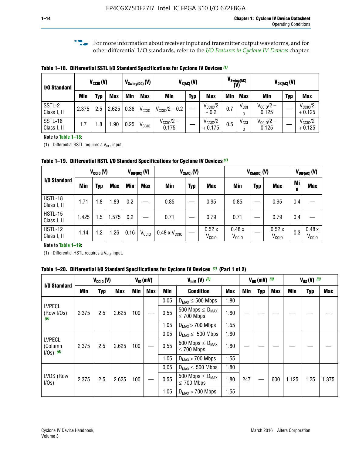**f For more information about receiver input and transmitter output waveforms, and for** other differential I/O standards, refer to the *[I/O Features in Cyclone IV Devices](http://www.altera.com/literature/hb/cyclone-iv/cyiv-51006.pdf)* chapter*.*

**Table 1–18. Differential SSTL I/O Standard Specifications for Cyclone IV Devices** *(1)*

| I/O Standard           |       | $V_{CCl0}(V)$ |            |      | $V_{\text{Swing(DC)}}(V)$<br>$V_{X(AC)}(V)$ |                                |            |                                 |            | $V_{\text{Swing(AC)}}$<br>(V) |                                | $V_{OX(AC)}(V)$ |                                 |
|------------------------|-------|---------------|------------|------|---------------------------------------------|--------------------------------|------------|---------------------------------|------------|-------------------------------|--------------------------------|-----------------|---------------------------------|
|                        | Min   | Typ           | <b>Max</b> | Min  | <b>Max</b>                                  | <b>Min</b>                     | <b>Typ</b> | <b>Max</b>                      | <b>Min</b> | <b>Max</b>                    | Min                            | <b>Typ</b>      | <b>Max</b>                      |
| SSTL-2<br>Class I, II  | 2.375 | 2.5           | 2.625      | 0.36 | V <sub>CCIO</sub>                           | $V_{\text{CC10}}/2 - 0.2$      |            | $V_{\text{CC10}}/2$<br>$+0.2$   | 0.7        | $V_{\rm CCI}$                 | $V_{\text{CC10}}/2 -$<br>0.125 |                 | $V_{\text{CC10}}/2$<br>$+0.125$ |
| SSTL-18<br>Class I, II | 1.7   | .8            | .90        | 0.25 | V <sub>CCIO</sub>                           | $V_{\text{CC10}}/2 -$<br>0.175 |            | $V_{\text{CC10}}/2$<br>$+0.175$ | 0.5        | $V_{\rm CCI}$                 | $V_{\text{CC10}}/2 -$<br>0.125 |                 | $V_{\text{CC10}}/2$<br>$+0.125$ |

#### **Note to Table 1–18:**

(1) Differential SSTL requires a  $V_{REF}$  input.

**Table 1–19. Differential HSTL I/O Standard Specifications for Cyclone IV Devices** *(1)*

|                               | $V_{CClO}(V)$ |     |            | $V_{CM(DC)}(V)$<br>$V_{X(AC)}(V)$<br>$V_{\text{DIF(DC)}}(V)$ |                   |                               |            |                            | $V_{\text{DIF(AC)}}(V)$    |            |                            |         |                            |
|-------------------------------|---------------|-----|------------|--------------------------------------------------------------|-------------------|-------------------------------|------------|----------------------------|----------------------------|------------|----------------------------|---------|----------------------------|
| I/O Standard                  | Min           | Typ | <b>Max</b> | Min                                                          | <b>Max</b>        | Min                           | <b>Typ</b> | <b>Max</b>                 | Min                        | <b>Typ</b> | <b>Max</b>                 | Mi<br>n | <b>Max</b>                 |
| HSTL-18<br>Class I, II        | 1.71          | 1.8 | .89        | 0.2                                                          |                   | 0.85                          |            | 0.95                       | 0.85                       |            | 0.95                       | 0.4     |                            |
| <b>HSTL-15</b><br>Class I, II | 1.425         | 1.5 | .575       | $0.2\,$                                                      |                   | 0.71                          |            | 0.79                       | 0.71                       |            | 0.79                       | 0.4     |                            |
| <b>HSTL-12</b><br>Class I, II | 1.14          | 1.2 | 1.26       | 0.16                                                         | V <sub>CCIO</sub> | $0.48 \times V_{\text{CC10}}$ |            | 0.52x<br>V <sub>CCIO</sub> | 0.48x<br>V <sub>CCIO</sub> |            | 0.52x<br>V <sub>CCIO</sub> | 0.3     | 0.48x<br>V <sub>CCIO</sub> |

#### **Note to Table 1–19:**

(1) Differential HSTL requires a  $V_{REF}$  input.

**Table 1–20. Differential I/O Standard Specifications for Cyclone IV Devices** *(1)* **(Part 1 of 2)**

| I/O Standard                            |       | $V_{CCl0} (V)$              |            |                                            | $V_{ID}$ (mV) |                      | $V_{\text{lcm}}(V)^{(2)}$                           |            | $V_{0D}$ (mV) $(3)$ |     |     |       | $V_{0S} (V)^{(3)}$ |       |
|-----------------------------------------|-------|-----------------------------|------------|--------------------------------------------|---------------|----------------------|-----------------------------------------------------|------------|---------------------|-----|-----|-------|--------------------|-------|
|                                         | Min   | Typ                         | <b>Max</b> | <b>Min</b>                                 | <b>Max</b>    | Min                  | <b>Condition</b>                                    | <b>Max</b> | Min                 | Typ | Max | Min   | <b>Typ</b>         | Max   |
|                                         |       |                             |            |                                            |               | 0.05                 | $D_{MAX} \leq 500$ Mbps                             | 1.80       |                     |     |     |       |                    |       |
| <b>LVPECL</b><br>(Row I/Os)<br>(6)      | 2.375 | 2.5                         | 2.625      | 100                                        |               | 0.55                 | 500 Mbps $\leq$ D <sub>MAX</sub><br>$\leq$ 700 Mbps | 1.80       |                     |     |     |       |                    |       |
|                                         |       |                             |            | 1.05                                       |               | $D_{MAX}$ > 700 Mbps | 1.55                                                |            |                     |     |     |       |                    |       |
|                                         |       |                             |            |                                            |               | 0.05                 | $D_{MAX} \leq 500$ Mbps                             | 1.80       |                     |     |     |       |                    |       |
| <b>LVPECL</b><br>(Column<br>$1/Os)$ (6) | 2.375 | 0.55<br>2.625<br>100<br>2.5 |            | 500 Mbps $\leq D_{MAX}$<br>$\leq$ 700 Mbps | 1.80          |                      |                                                     |            |                     |     |     |       |                    |       |
|                                         |       |                             |            |                                            |               | 1.05                 | $D_{MAX}$ > 700 Mbps                                | 1.55       |                     |     |     |       |                    |       |
|                                         |       |                             |            |                                            |               | 0.05                 | $D_{MAX} \leq 500$ Mbps                             | 1.80       |                     |     |     |       |                    |       |
| LVDS (Row<br>I/Os)                      | 2.375 | 2.5                         | 2.625      | 100                                        |               | 0.55                 | 500 Mbps $\leq D_{MAX}$<br>$\leq 700$ Mbps          | 1.80       | 247                 |     | 600 | 1.125 | 1.25               | 1.375 |
|                                         |       |                             |            |                                            |               | 1.05                 | $D_{MAX}$ > 700 Mbps                                | 1.55       |                     |     |     |       |                    |       |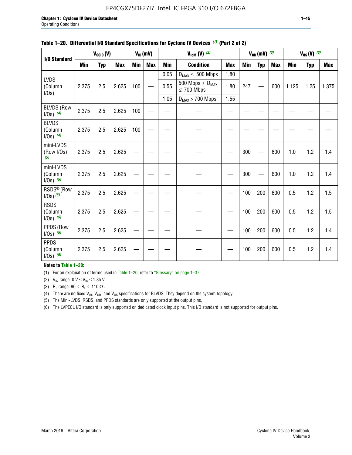#### EP4CGX75DF27I7 Intel IC FPGA 310 I/O 672FBGA

| <b>I/O Standard</b>                      |       | $V_{CClO}(V)$ |                   |     | $V_{ID}(mV)$ |            | $V_{\text{ICM}}(V)$ (2)                    |            |     | $V_{OD}$ (mV) $(3)$ |            |       | $V_{0S} (V)$ (3) |       |
|------------------------------------------|-------|---------------|-------------------|-----|--------------|------------|--------------------------------------------|------------|-----|---------------------|------------|-------|------------------|-------|
|                                          | Min   | <b>Typ</b>    | <b>Max</b><br>Min |     | <b>Max</b>   | <b>Min</b> | <b>Condition</b>                           | <b>Max</b> | Min | <b>Typ</b>          | <b>Max</b> | Min   | <b>Typ</b>       | Max   |
|                                          |       |               |                   |     |              | 0.05       | $D_{MAX} \leq 500$ Mbps                    | 1.80       |     |                     |            |       |                  |       |
| <b>LVDS</b><br>(Column<br>I/Os)          | 2.375 | 2.5           | 2.625             | 100 |              | 0.55       | 500 Mbps $\leq D_{MAX}$<br>$\leq 700$ Mbps | 1.80       | 247 |                     | 600        | 1.125 | 1.25             | 1.375 |
|                                          |       |               |                   |     |              | 1.05       | $D_{MAX}$ > 700 Mbps                       | 1.55       |     |                     |            |       |                  |       |
| <b>BLVDS (Row</b><br>$1/0s)$ (4)         | 2.375 | 2.5           | 2.625             | 100 |              |            |                                            |            |     |                     |            |       |                  |       |
| <b>BLVDS</b><br>(Column<br>$1/0s)$ (4)   | 2.375 | 2.5           | 2.625             | 100 |              |            |                                            |            |     |                     |            |       |                  |       |
| mini-LVDS<br>(Row I/Os)<br>(5)           | 2.375 | 2.5           | 2.625             |     |              |            |                                            |            | 300 |                     | 600        | 1.0   | 1.2              | 1.4   |
| mini-LVDS<br>(Column<br>$1/0s)$ $(5)$    | 2.375 | 2.5           | 2.625             |     |              |            |                                            |            | 300 |                     | 600        | 1.0   | 1.2              | 1.4   |
| RSDS <sup>®</sup> (Row<br>$1/0s$ ) $(5)$ | 2.375 | 2.5           | 2.625             |     |              |            |                                            |            | 100 | 200                 | 600        | 0.5   | 1.2              | 1.5   |
| <b>RSDS</b><br>(Column<br>$1/0s)$ (5)    | 2.375 | 2.5           | 2.625             |     |              |            |                                            |            | 100 | 200                 | 600        | 0.5   | 1.2              | 1.5   |
| PPDS (Row<br>$1/Os)$ (5)                 | 2.375 | 2.5           | 2.625             |     |              |            |                                            |            | 100 | 200                 | 600        | 0.5   | 1.2              | 1.4   |
| <b>PPDS</b><br>(Column<br>$1/Os)$ (5)    | 2.375 | 2.5           | 2.625             |     |              |            |                                            |            | 100 | 200                 | 600        | 0.5   | 1.2              | 1.4   |

#### **Table 1–20. Differential I/O Standard Specifications for Cyclone IV Devices** *(1)* **(Part 2 of 2)**

#### **Notes to Table 1–20:**

(1) For an explanation of terms used in Table 1–20, refer to "Glossary" on page 1–37.

(2)  $V_{IN}$  range: 0  $V \le V_{IN} \le 1.85$  V.

(3) R<sub>L</sub> range:  $90 \le R_L \le 110 \Omega$ .

(4) There are no fixed  $V_{IN}$ ,  $V_{OD}$ , and  $V_{OS}$  specifications for BLVDS. They depend on the system topology.

(5) The Mini-LVDS, RSDS, and PPDS standards are only supported at the output pins.

(6) The LVPECL I/O standard is only supported on dedicated clock input pins. This I/O standard is not supported for output pins.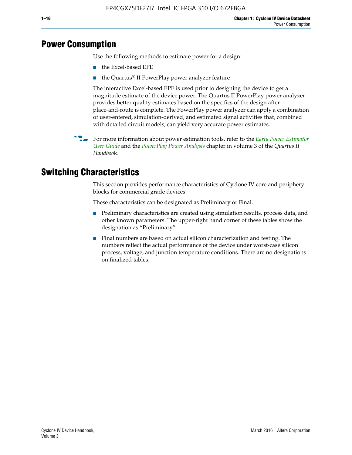## **Power Consumption**

Use the following methods to estimate power for a design:

- the Excel-based EPE
- the Quartus® II PowerPlay power analyzer feature

The interactive Excel-based EPE is used prior to designing the device to get a magnitude estimate of the device power. The Quartus II PowerPlay power analyzer provides better quality estimates based on the specifics of the design after place-and-route is complete. The PowerPlay power analyzer can apply a combination of user-entered, simulation-derived, and estimated signal activities that, combined with detailed circuit models, can yield very accurate power estimates.

f For more information about power estimation tools, refer to the *[Early Power Estimator](http://www.altera.com/literature/ug/ug_epe.pdf
)  [User Guide](http://www.altera.com/literature/ug/ug_epe.pdf
)* and the *[PowerPlay Power Analysis](http://www.altera.com/literature/hb/qts/qts_qii53013.pdf)* chapter in volume 3 of the *Quartus II Handboo*k.

## **Switching Characteristics**

This section provides performance characteristics of Cyclone IV core and periphery blocks for commercial grade devices.

These characteristics can be designated as Preliminary or Final.

- Preliminary characteristics are created using simulation results, process data, and other known parameters. The upper-right hand corner of these tables show the designation as "Preliminary".
- Final numbers are based on actual silicon characterization and testing. The numbers reflect the actual performance of the device under worst-case silicon process, voltage, and junction temperature conditions. There are no designations on finalized tables.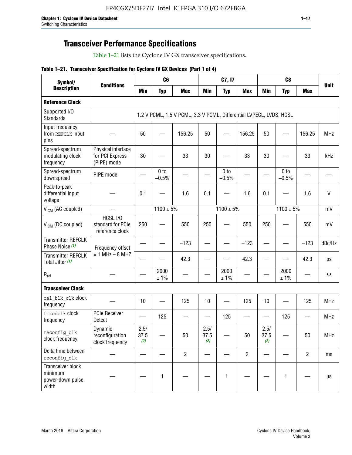## **Transceiver Performance Specifications**

Table 1–21 lists the Cyclone IV GX transceiver specifications.

#### **Table 1–21. Transceiver Specification for Cyclone IV GX Devices (Part 1 of 4)**

| Symbol/                                                   |                                                      |                     | C <sub>6</sub>             |                                                                     |                     | C7, I7                     |                                |                     | C <sub>8</sub>             |                |              |
|-----------------------------------------------------------|------------------------------------------------------|---------------------|----------------------------|---------------------------------------------------------------------|---------------------|----------------------------|--------------------------------|---------------------|----------------------------|----------------|--------------|
| <b>Description</b>                                        | <b>Conditions</b>                                    | <b>Min</b>          | <b>Typ</b>                 | <b>Max</b>                                                          | <b>Min</b>          | <b>Typ</b>                 | <b>Max</b>                     | <b>Min</b>          | <b>Typ</b>                 | <b>Max</b>     | <b>Unit</b>  |
| <b>Reference Clock</b>                                    |                                                      |                     |                            |                                                                     |                     |                            |                                |                     |                            |                |              |
| Supported I/O<br><b>Standards</b>                         |                                                      |                     |                            | 1.2 V PCML, 1.5 V PCML, 3.3 V PCML, Differential LVPECL, LVDS, HCSL |                     |                            |                                |                     |                            |                |              |
| Input frequency<br>from REFCLK input<br>pins              |                                                      | 50                  |                            | 156.25                                                              | 50                  |                            | 156.25                         | 50                  | —                          | 156.25         | <b>MHz</b>   |
| Spread-spectrum<br>modulating clock<br>frequency          | Physical interface<br>for PCI Express<br>(PIPE) mode | 30                  |                            | 33                                                                  | 30                  |                            | 33                             | 30                  |                            | 33             | kHz          |
| Spread-spectrum<br>downspread                             | PIPE mode                                            |                     | 0 <sub>to</sub><br>$-0.5%$ |                                                                     |                     | 0 <sub>to</sub><br>$-0.5%$ |                                |                     | 0 <sub>to</sub><br>$-0.5%$ |                |              |
| Peak-to-peak<br>differential input<br>voltage             |                                                      | 0.1                 |                            | 1.6                                                                 | 0.1                 |                            | 1.6                            | 0.1                 |                            | 1.6            | $\mathsf{V}$ |
| V <sub>ICM</sub> (AC coupled)                             |                                                      |                     | $1100 \pm 5\%$             |                                                                     |                     | $1100 \pm 5\%$             |                                |                     | $1100 \pm 5\%$             |                | mV           |
| V <sub>ICM</sub> (DC coupled)                             | HCSL I/O<br>standard for PCIe<br>reference clock     | 250                 |                            | 550                                                                 | 250                 |                            | 550                            | 250                 |                            | 550            | mV           |
| <b>Transmitter REFCLK</b><br>Phase Noise (1)              | Frequency offset                                     |                     |                            | $-123$                                                              |                     |                            | $-123$                         |                     |                            | $-123$         | dBc/Hz       |
| <b>Transmitter REFCLK</b><br>Total Jitter (1)             | $= 1$ MHz $- 8$ MHZ                                  |                     |                            | 42.3                                                                |                     |                            | 42.3                           |                     |                            | 42.3           | ps           |
| $R_{ref}$                                                 |                                                      |                     | 2000<br>± 1%               |                                                                     |                     | 2000<br>± 1%               |                                |                     | 2000<br>± 1%               |                | $\Omega$     |
| <b>Transceiver Clock</b>                                  |                                                      |                     |                            |                                                                     |                     |                            |                                |                     |                            |                |              |
| cal blk clk clock<br>frequency                            |                                                      | 10                  |                            | 125                                                                 | 10                  |                            | 125                            | 10                  |                            | 125            | <b>MHz</b>   |
| fixedclk Clock<br>frequency                               | <b>PCIe Receiver</b><br>Detect                       |                     | 125                        |                                                                     |                     | 125                        | $\qquad \qquad \longleftarrow$ |                     | 125                        |                | <b>MHz</b>   |
| reconfig clk<br>clock frequency                           | Dynamic<br>reconfiguration<br>clock frequency        | 2.5/<br>37.5<br>(2) |                            | 50                                                                  | 2.5/<br>37.5<br>(2) |                            | 50                             | 2.5/<br>37.5<br>(2) |                            | 50             | <b>MHz</b>   |
| Delta time between<br>reconfig clk                        |                                                      |                     |                            | $\overline{c}$                                                      |                     |                            | $\overline{c}$                 |                     |                            | $\overline{2}$ | ms           |
| Transceiver block<br>minimum<br>power-down pulse<br>width |                                                      |                     | 1                          |                                                                     |                     | 1                          |                                |                     | $\mathbf{1}$               |                | $\mu s$      |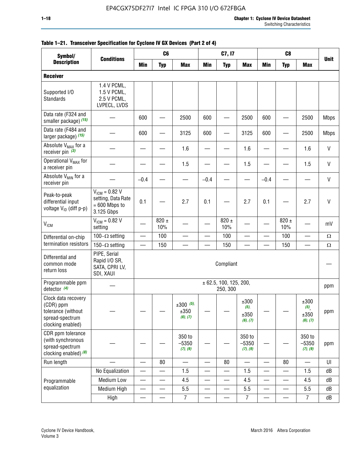| Symbol/                                                                                        |                                                                           |                          | C <sub>6</sub>   |                                    |                          | C7, I7                             |                                  |            | C <sub>8</sub>           |                                  |              |
|------------------------------------------------------------------------------------------------|---------------------------------------------------------------------------|--------------------------|------------------|------------------------------------|--------------------------|------------------------------------|----------------------------------|------------|--------------------------|----------------------------------|--------------|
| <b>Description</b>                                                                             | <b>Conditions</b>                                                         | <b>Min</b>               | <b>Typ</b>       | <b>Max</b>                         | <b>Min</b>               | <b>Typ</b>                         | <b>Max</b>                       | <b>Min</b> | <b>Typ</b>               | <b>Max</b>                       | <b>Unit</b>  |
| <b>Receiver</b>                                                                                |                                                                           |                          |                  |                                    |                          |                                    |                                  |            |                          |                                  |              |
| Supported I/O<br>Standards                                                                     | 1.4 V PCML,<br>1.5 V PCML,<br>2.5 V PCML,<br>LVPECL, LVDS                 |                          |                  |                                    |                          |                                    |                                  |            |                          |                                  |              |
| Data rate (F324 and<br>smaller package) (15)                                                   |                                                                           | 600                      |                  | 2500                               | 600                      |                                    | 2500                             | 600        |                          | 2500                             | <b>Mbps</b>  |
| Data rate (F484 and<br>larger package) (15)                                                    |                                                                           | 600                      |                  | 3125                               | 600                      |                                    | 3125                             | 600        |                          | 2500                             | <b>Mbps</b>  |
| Absolute V <sub>MAX</sub> for a<br>receiver pin $(3)$                                          |                                                                           |                          |                  | 1.6                                |                          |                                    | 1.6                              |            |                          | 1.6                              | $\mathsf{V}$ |
| Operational V <sub>MAX</sub> for<br>a receiver pin                                             |                                                                           |                          |                  | 1.5                                |                          |                                    | 1.5                              |            |                          | 1.5                              | V            |
| Absolute V <sub>MIN</sub> for a<br>receiver pin                                                |                                                                           | $-0.4$                   |                  |                                    | $-0.4$                   |                                    |                                  | $-0.4$     |                          |                                  | $\mathsf{V}$ |
| Peak-to-peak<br>differential input<br>voltage V <sub>ID</sub> (diff p-p)                       | $V_{ICM} = 0.82 V$<br>setting, Data Rate<br>$= 600$ Mbps to<br>3.125 Gbps | 0.1                      |                  | 2.7                                | 0.1                      |                                    | 2.7                              | 0.1        |                          | 2.7                              | $\mathsf{V}$ |
| <b>V<sub>ICM</sub></b>                                                                         | $V_{IGM} = 0.82 V$<br>setting                                             |                          | $820 \pm$<br>10% |                                    |                          | $820 \pm$<br>10%                   |                                  |            | $820 \pm$<br>10%         |                                  | mV           |
| Differential on-chip                                                                           | 100 $-\Omega$ setting                                                     | $\overline{\phantom{0}}$ | 100              |                                    |                          | 100                                | $\overline{\phantom{0}}$         | —          | 100                      |                                  | $\Omega$     |
| termination resistors                                                                          | 150 $-\Omega$ setting                                                     |                          | 150              |                                    |                          | 150                                |                                  |            | 150                      |                                  | $\Omega$     |
| Differential and<br>common mode<br>return loss                                                 | PIPE, Serial<br>Rapid I/O SR,<br>SATA, CPRI LV,<br>SDI, XAUI              |                          |                  |                                    |                          | Compliant                          |                                  |            |                          |                                  |              |
| Programmable ppm<br>detector $(4)$                                                             |                                                                           |                          |                  |                                    |                          | ± 62.5, 100, 125, 200,<br>250, 300 |                                  |            |                          |                                  | ppm          |
| Clock data recovery<br>(CDR) ppm<br>tolerance (without<br>spread-spectrum<br>clocking enabled) |                                                                           |                          |                  | $\pm 300$ (5),<br>±350<br>(6), (7) |                          |                                    | ±300<br>(5),<br>±350<br>(6), (7) |            |                          | ±300<br>(5),<br>±350<br>(6), (7) | ppm          |
| CDR ppm tolerance<br>(with synchronous<br>spread-spectrum<br>clocking enabled) (8)             |                                                                           |                          |                  | 350 to<br>$-5350$<br>(7), (9)      |                          |                                    | 350 to<br>$-5350$<br>(7), (9)    |            |                          | 350 to<br>$-5350$<br>(7), (9)    | ppm          |
| Run length                                                                                     |                                                                           |                          | 80               |                                    |                          | 80                                 |                                  |            | 80                       |                                  | UI           |
|                                                                                                | No Equalization                                                           | —                        |                  | 1.5                                | $\overline{\phantom{0}}$ |                                    | 1.5                              | —          |                          | 1.5                              | dB           |
| Programmable                                                                                   | <b>Medium Low</b>                                                         | $\qquad \qquad$          | —                | 4.5                                | $\overline{\phantom{0}}$ | $\overline{\phantom{0}}$           | 4.5                              | —          | $\overline{\phantom{0}}$ | 4.5                              | dB           |
| equalization                                                                                   | Medium High                                                               | $\overline{\phantom{0}}$ |                  | 5.5                                |                          |                                    | 5.5                              | —          |                          | 5.5                              | dB           |
|                                                                                                | High                                                                      | —                        | —                | $\overline{7}$                     | $\overline{\phantom{0}}$ |                                    | $\overline{7}$                   | —          |                          | $\overline{7}$                   | dB           |

#### **Table 1–21. Transceiver Specification for Cyclone IV GX Devices (Part 2 of 4)**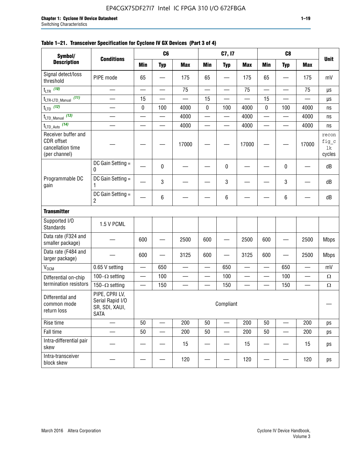|                                                                         |                                                                     |                          |                          |                          |                          |                          |                          |                          | C8          |                          |                                |
|-------------------------------------------------------------------------|---------------------------------------------------------------------|--------------------------|--------------------------|--------------------------|--------------------------|--------------------------|--------------------------|--------------------------|-------------|--------------------------|--------------------------------|
| Symbol/<br><b>Description</b>                                           | <b>Conditions</b>                                                   |                          | C <sub>6</sub>           |                          |                          | C7, I7                   |                          |                          |             |                          | <b>Unit</b>                    |
|                                                                         |                                                                     | <b>Min</b>               | <b>Typ</b>               | <b>Max</b>               | <b>Min</b>               | <b>Typ</b>               | <b>Max</b>               | <b>Min</b>               | <b>Typ</b>  | <b>Max</b>               |                                |
| Signal detect/loss<br>threshold                                         | PIPE mode                                                           | 65                       |                          | 175                      | 65                       |                          | 175                      | 65                       |             | 175                      | mV                             |
| t <sub>LTR</sub> (10)                                                   |                                                                     | $\overline{\phantom{0}}$ |                          | 75                       | $\overline{\phantom{0}}$ | $\overline{\phantom{0}}$ | 75                       | $\overline{\phantom{0}}$ | <u>in a</u> | 75                       | μs                             |
| t <sub>LTR-LTD_Manual</sub> (11)                                        |                                                                     | 15                       |                          |                          | 15                       |                          |                          | 15                       |             |                          | $\mu s$                        |
| $t_{\text{LTD}}$ (12)                                                   |                                                                     | $\pmb{0}$                | 100                      | 4000                     | 0                        | 100                      | 4000                     | $\pmb{0}$                | 100         | 4000                     | ns                             |
| t <sub>LTD_Manual</sub> (13)                                            | $\overline{\phantom{0}}$                                            |                          | $\overline{\phantom{0}}$ | 4000                     | —                        | —                        | 4000                     |                          | —           | 4000                     | ns                             |
| t <sub>LTD_Auto</sub> (14)                                              |                                                                     |                          | $\overline{\phantom{0}}$ | 4000                     |                          | $\overline{\phantom{0}}$ | 4000                     |                          |             | 4000                     | ns                             |
| Receiver buffer and<br>CDR offset<br>cancellation time<br>(per channel) |                                                                     |                          |                          | 17000                    |                          |                          | 17000                    |                          |             | 17000                    | recon<br>fig_c<br>lk<br>cycles |
|                                                                         | DC Gain Setting =<br>0                                              |                          | 0                        |                          |                          | $\pmb{0}$                |                          |                          | 0           |                          | dB                             |
| Programmable DC<br>gain                                                 | DC Gain Setting =<br>1                                              |                          | 3                        |                          |                          | 3                        |                          |                          | 3           |                          | dB                             |
|                                                                         | DC Gain Setting =<br>2                                              |                          | 6                        |                          |                          | 6                        |                          |                          | 6           |                          | dB                             |
| <b>Transmitter</b>                                                      |                                                                     |                          |                          |                          |                          |                          |                          |                          |             |                          |                                |
| Supported I/O<br><b>Standards</b>                                       | 1.5 V PCML                                                          |                          |                          |                          |                          |                          |                          |                          |             |                          |                                |
| Data rate (F324 and<br>smaller package)                                 |                                                                     | 600                      |                          | 2500                     | 600                      |                          | 2500                     | 600                      |             | 2500                     | <b>Mbps</b>                    |
| Data rate (F484 and<br>larger package)                                  |                                                                     | 600                      |                          | 3125                     | 600                      | —                        | 3125                     | 600                      |             | 2500                     | <b>Mbps</b>                    |
| V <sub>OCM</sub>                                                        | 0.65 V setting                                                      | —                        | 650                      | $\overline{\phantom{0}}$ | $\overline{\phantom{0}}$ | 650                      | $\overline{\phantom{0}}$ | $\overline{\phantom{0}}$ | 650         | $\overline{\phantom{0}}$ | mV                             |
| Differential on-chip                                                    | 100 $-\Omega$ setting                                               |                          | 100                      |                          |                          | 100                      |                          |                          | 100         |                          | $\Omega$                       |
| termination resistors                                                   | 150 $-\Omega$ setting                                               |                          | 150                      | $\overline{\phantom{0}}$ |                          | 150                      |                          | —                        | 150         | —                        | $\Omega$                       |
| Differential and<br>common mode<br>return loss                          | PIPE, CPRI LV,<br>Serial Rapid I/O<br>SR, SDI, XAUI,<br><b>SATA</b> |                          |                          |                          |                          | Compliant                |                          |                          |             |                          |                                |
| Rise time                                                               |                                                                     | 50                       |                          | 200                      | 50                       |                          | 200                      | 50                       |             | 200                      | ps                             |
| Fall time                                                               |                                                                     | 50                       |                          | 200                      | 50                       |                          | 200                      | 50                       |             | 200                      | ps                             |
| Intra-differential pair<br>skew                                         |                                                                     |                          |                          | 15                       |                          |                          | 15                       |                          |             | 15                       | ps                             |
| Intra-transceiver<br>block skew                                         |                                                                     |                          |                          | 120                      |                          |                          | 120                      |                          |             | 120                      | ps                             |

### **Table 1–21. Transceiver Specification for Cyclone IV GX Devices (Part 3 of 4)**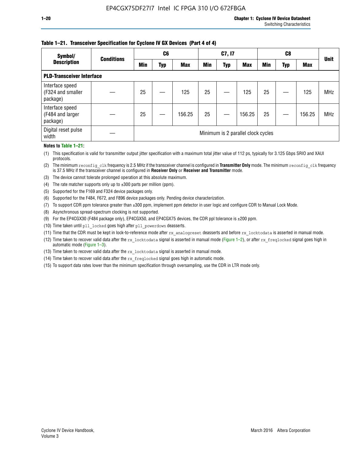#### **Table 1–21. Transceiver Specification for Cyclone IV GX Devices (Part 4 of 4)**

| Symbol/                                          | <b>Conditions</b>                  | C <sub>6</sub> |     |            | C7, I7     |            | C8         |            |     | <b>Unit</b> |            |
|--------------------------------------------------|------------------------------------|----------------|-----|------------|------------|------------|------------|------------|-----|-------------|------------|
| <b>Description</b>                               |                                    | <b>Min</b>     | Typ | <b>Max</b> | <b>Min</b> | <b>Typ</b> | <b>Max</b> | <b>Min</b> | Typ | <b>Max</b>  |            |
| <b>PLD-Transceiver Interface</b>                 |                                    |                |     |            |            |            |            |            |     |             |            |
| Interface speed<br>(F324 and smaller<br>package) |                                    | 25             |     | 125        | 25         |            | 125        | 25         |     | 125         | <b>MHz</b> |
| Interface speed<br>(F484 and larger<br>package)  |                                    | 25             |     | 156.25     | 25         |            | 156.25     | 25         |     | 156.25      | <b>MHz</b> |
| Digital reset pulse<br>width                     | Minimum is 2 parallel clock cycles |                |     |            |            |            |            |            |     |             |            |

#### **Notes to Table 1–21:**

(1) This specification is valid for transmitter output jitter specification with a maximum total jitter value of 112 ps, typically for 3.125 Gbps SRIO and XAUI protocols.

(2) The minimum reconfig\_clk frequency is 2.5 MHz if the transceiver channel is configured in **Transmitter Only** mode. The minimum reconfig\_clk frequency is 37.5 MHz if the transceiver channel is configured in **Receiver Only** or **Receiver and Transmitter** mode.

- (3) The device cannot tolerate prolonged operation at this absolute maximum.
- (4) The rate matcher supports only up to  $\pm 300$  parts per million (ppm).
- (5) Supported for the F169 and F324 device packages only.
- (6) Supported for the F484, F672, and F896 device packages only. Pending device characterization.
- (7) To support CDR ppm tolerance greater than ±300 ppm, implement ppm detector in user logic and configure CDR to Manual Lock Mode.
- (8) Asynchronous spread-spectrum clocking is not supported.
- (9) For the EP4CGX30 (F484 package only), EP4CGX50, and EP4CGX75 devices, the CDR ppl tolerance is ±200 ppm.
- (10) Time taken until pll\_locked goes high after pll\_powerdown deasserts.
- (11) Time that the CDR must be kept in lock-to-reference mode after rx analogreset deasserts and before rx locktodata is asserted in manual mode.

(12) Time taken to recover valid data after the rx locktodata signal is asserted in manual mode (Figure 1–2), or after rx freqlocked signal goes high in automatic mode (Figure 1–3).

(13) Time taken to recover valid data after the rx locktodata signal is asserted in manual mode.

- (14) Time taken to recover valid data after the rx freqlocked signal goes high in automatic mode.
- (15) To support data rates lower than the minimum specification through oversampling, use the CDR in LTR mode only.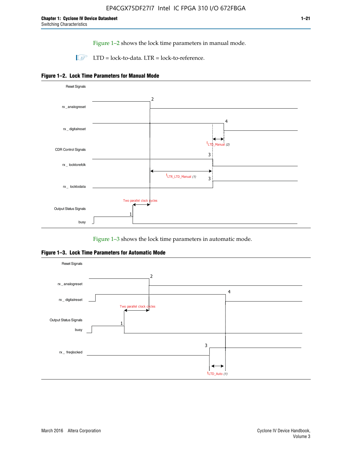Figure 1–2 shows the lock time parameters in manual mode.

 $\Box$  LTD = lock-to-data. LTR = lock-to-reference.





Figure 1–3 shows the lock time parameters in automatic mode.

**Figure 1–3. Lock Time Parameters for Automatic Mode**

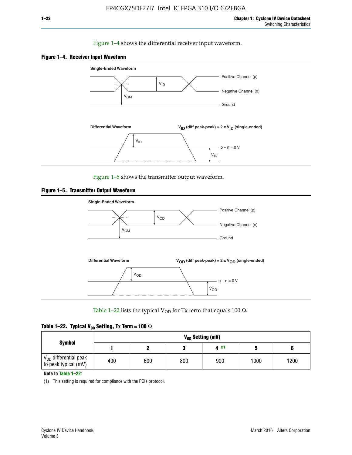#### Figure 1–4 shows the differential receiver input waveform.





Figure 1–5 shows the transmitter output waveform.





Table 1–22 lists the typical V<sub>OD</sub> for Tx term that equals 100  $\Omega$ .

| Table 1–22. Typical V <sub>0D</sub> Setting, Tx Term = 100 $\Omega$ |  |  |  |  |  |  |  |
|---------------------------------------------------------------------|--|--|--|--|--|--|--|
|---------------------------------------------------------------------|--|--|--|--|--|--|--|

| <b>Symbol</b><br>$\rm V_{OD}$ differential peak | V <sub>on</sub> Setting (mV) |     |     |      |      |      |  |  |  |  |  |  |
|-------------------------------------------------|------------------------------|-----|-----|------|------|------|--|--|--|--|--|--|
|                                                 |                              |     |     | 4(1) |      |      |  |  |  |  |  |  |
| to peak typical (mV)                            | 400                          | 600 | 800 | 900  | 1000 | 1200 |  |  |  |  |  |  |

**Note to Table 1–22:**

(1) This setting is required for compliance with the PCIe protocol.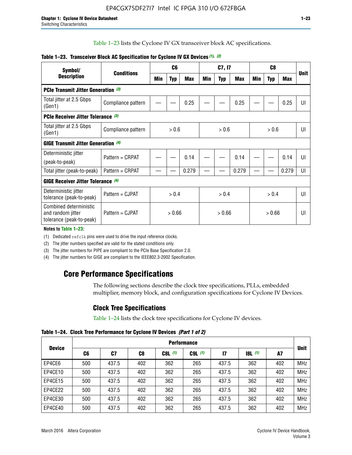Table 1–23 lists the Cyclone IV GX transceiver block AC specifications.

| Symbol/                                                                 | <b>Conditions</b>  |       | C <sub>6</sub> |            |       | C7, I7     |       | C <sub>8</sub> |            |            | <b>Unit</b>    |
|-------------------------------------------------------------------------|--------------------|-------|----------------|------------|-------|------------|-------|----------------|------------|------------|----------------|
| <b>Description</b>                                                      |                    | Min   | <b>Typ</b>     | <b>Max</b> | Min   | <b>Typ</b> | Max   | Min            | <b>Typ</b> | <b>Max</b> |                |
| <b>PCIe Transmit Jitter Generation (3)</b>                              |                    |       |                |            |       |            |       |                |            |            |                |
| Total jitter at 2.5 Gbps<br>(Gen1)                                      | Compliance pattern |       |                | 0.25       |       |            | 0.25  |                |            | 0.25       | UI             |
| <b>PCIe Receiver Jitter Tolerance (3)</b>                               |                    |       |                |            |       |            |       |                |            |            |                |
| Total jitter at 2.5 Gbps<br>(Gen1)                                      | Compliance pattern | > 0.6 |                |            | > 0.6 |            |       |                | > 0.6      | UI         |                |
| <b>GIGE Transmit Jitter Generation (4)</b>                              |                    |       |                |            |       |            |       |                |            |            |                |
| Deterministic jitter                                                    | Pattern = CRPAT    |       |                | 0.14       |       |            | 0.14  |                |            | 0.14       | UI             |
| (peak-to-peak)                                                          |                    |       |                |            |       |            |       |                |            |            |                |
| Total jitter (peak-to-peak)                                             | Pattern = CRPAT    |       |                | 0.279      |       |            | 0.279 |                |            | 0.279      | UI             |
| <b>GIGE Receiver Jitter Tolerance</b> (4)                               |                    |       |                |            |       |            |       |                |            |            |                |
| Deterministic jitter<br>tolerance (peak-to-peak)                        | Pattern = CJPAT    |       | > 0.4          |            |       | > 0.4      |       |                | > 0.4      |            | $\mathsf{III}$ |
| Combined deterministic<br>and random jitter<br>tolerance (peak-to-peak) | Pattern = CJPAT    |       | > 0.66         |            |       | > 0.66     |       |                | > 0.66     |            | UI             |

#### **Table 1–23. Transceiver Block AC Specification for Cyclone IV GX Devices** *(1)***,** *(2)*

**Notes to Table 1–23:**

(1) Dedicated refclk pins were used to drive the input reference clocks.

(2) The jitter numbers specified are valid for the stated conditions only.

(3) The jitter numbers for PIPE are compliant to the PCIe Base Specification 2.0.

(4) The jitter numbers for GIGE are compliant to the IEEE802.3-2002 Specification.

## **Core Performance Specifications**

The following sections describe the clock tree specifications, PLLs, embedded multiplier, memory block, and configuration specifications for Cyclone IV Devices.

## **Clock Tree Specifications**

Table 1–24 lists the clock tree specifications for Cyclone IV devices.

**Table 1–24. Clock Tree Performance for Cyclone IV Devices** *(Part 1 of 2)*

| <b>Device</b> | <b>Performance</b> |       |     |           |             |               |                  |     |             |  |  |  |  |
|---------------|--------------------|-------|-----|-----------|-------------|---------------|------------------|-----|-------------|--|--|--|--|
|               | C6                 | C7    | C8  | $C8L$ (1) | $C9L$ $(1)$ | $\mathsf{I}7$ | <b>18L</b> $(1)$ | A7  | <b>Unit</b> |  |  |  |  |
| EP4CE6        | 500                | 437.5 | 402 | 362       | 265         | 437.5         | 362              | 402 | <b>MHz</b>  |  |  |  |  |
| EP4CE10       | 500                | 437.5 | 402 | 362       | 265         | 437.5         | 362              | 402 | <b>MHz</b>  |  |  |  |  |
| EP4CE15       | 500                | 437.5 | 402 | 362       | 265         | 437.5         | 362              | 402 | <b>MHz</b>  |  |  |  |  |
| EP4CE22       | 500                | 437.5 | 402 | 362       | 265         | 437.5         | 362              | 402 | <b>MHz</b>  |  |  |  |  |
| EP4CE30       | 500                | 437.5 | 402 | 362       | 265         | 437.5         | 362              | 402 | <b>MHz</b>  |  |  |  |  |
| EP4CE40       | 500                | 437.5 | 402 | 362       | 265         | 437.5         | 362              | 402 | <b>MHz</b>  |  |  |  |  |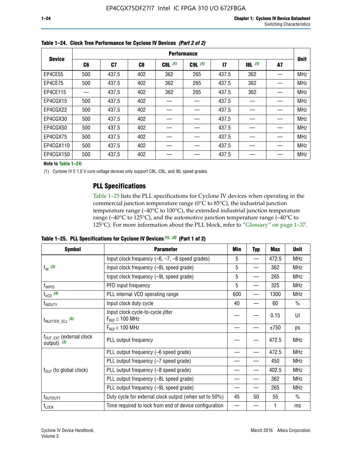|               | <b>Performance</b> |       |     |           |             |              |           |    |             |  |  |  |  |  |
|---------------|--------------------|-------|-----|-----------|-------------|--------------|-----------|----|-------------|--|--|--|--|--|
| <b>Device</b> | C6                 | C7    | C8  | $C8L$ (1) | $C9L$ $(1)$ | $\mathbf{I}$ | $18L$ (1) | A7 | <b>Unit</b> |  |  |  |  |  |
| EP4CE55       | 500                | 437.5 | 402 | 362       | 265         | 437.5        | 362       |    | <b>MHz</b>  |  |  |  |  |  |
| EP4CE75       | 500                | 437.5 | 402 | 362       | 265         | 437.5        | 362       |    | <b>MHz</b>  |  |  |  |  |  |
| EP4CE115      |                    | 437.5 | 402 | 362       | 265         | 437.5        | 362       |    | <b>MHz</b>  |  |  |  |  |  |
| EP4CGX15      | 500                | 437.5 | 402 |           |             | 437.5        |           |    | <b>MHz</b>  |  |  |  |  |  |
| EP4CGX22      | 500                | 437.5 | 402 |           |             | 437.5        |           |    | <b>MHz</b>  |  |  |  |  |  |
| EP4CGX30      | 500                | 437.5 | 402 |           |             | 437.5        |           |    | <b>MHz</b>  |  |  |  |  |  |
| EP4CGX50      | 500                | 437.5 | 402 |           |             | 437.5        |           |    | <b>MHz</b>  |  |  |  |  |  |
| EP4CGX75      | 500                | 437.5 | 402 |           |             | 437.5        |           |    | <b>MHz</b>  |  |  |  |  |  |
| EP4CGX110     | 500                | 437.5 | 402 |           |             | 437.5        |           |    | <b>MHz</b>  |  |  |  |  |  |
| EP4CGX150     | 500                | 437.5 | 402 |           |             | 437.5        |           |    | <b>MHz</b>  |  |  |  |  |  |

**Table 1–24. Clock Tree Performance for Cyclone IV Devices** *(Part 2 of 2)*

**Note to Table 1–24:**

(1) Cyclone IV E 1.0 V core voltage devices only support C8L, C9L, and I8L speed grades.

### **PLL Specifications**

Table 1–25 lists the PLL specifications for Cyclone IV devices when operating in the commercial junction temperature range (0°C to 85°C), the industrial junction temperature range (–40°C to 100°C), the extended industrial junction temperature range (–40°C to 125°C), and the automotive junction temperature range (–40°C to 125°C). For more information about the PLL block, refer to "Glossary" on page 1–37.

|  |  | Table 1–25. PLL Specifications for Cyclone IV Devices $(1)$ , $(2)$ (Part 1 of 2) |  |
|--|--|-----------------------------------------------------------------------------------|--|
|--|--|-----------------------------------------------------------------------------------|--|

| <b>Symbol</b>                                        | <b>Parameter</b>                                            | Min | <b>Typ</b>               | Max   | <b>Unit</b>   |
|------------------------------------------------------|-------------------------------------------------------------|-----|--------------------------|-------|---------------|
|                                                      | Input clock frequency $(-6, -7, -8)$ speed grades)          | 5   | —                        | 472.5 | <b>MHz</b>    |
| $f_{\text{IN}}$ (3)                                  | Input clock frequency (-8L speed grade)                     | 5   |                          | 362   | <b>MHz</b>    |
|                                                      | Input clock frequency (-9L speed grade)                     | 5   |                          | 265   | <b>MHz</b>    |
| f <sub>INPFD</sub>                                   | PFD input frequency                                         | 5   |                          | 325   | <b>MHz</b>    |
| $f_{VCO}$ (4)                                        | PLL internal VCO operating range                            | 600 | $\overline{\phantom{0}}$ | 1300  | <b>MHz</b>    |
| f <sub>INDUTY</sub>                                  | Input clock duty cycle                                      | 40  |                          | 60    | $\frac{0}{0}$ |
| $t_{\text{INJITTER\_CCJ}}$ (5)                       | Input clock cycle-to-cycle jitter<br>$F_{REF} \geq 100$ MHz |     |                          | 0.15  | UI            |
|                                                      | $F_{RFF}$ < 100 MHz                                         |     |                          | ±750  | ps            |
| $f_{\text{OUT\_EXT}}$ (external clock<br>output) (3) | PLL output frequency                                        |     |                          | 472.5 | <b>MHz</b>    |
|                                                      | PLL output frequency (-6 speed grade)                       |     |                          | 472.5 | <b>MHz</b>    |
|                                                      | PLL output frequency (-7 speed grade)                       |     |                          | 450   | <b>MHz</b>    |
| $f_{OUT}$ (to global clock)                          | PLL output frequency (-8 speed grade)                       |     |                          | 402.5 | <b>MHz</b>    |
|                                                      | PLL output frequency (-8L speed grade)                      |     |                          | 362   | <b>MHz</b>    |
|                                                      | PLL output frequency (-9L speed grade)                      |     |                          | 265   | <b>MHz</b>    |
| t <sub>outputy</sub>                                 | Duty cycle for external clock output (when set to 50%)      | 45  | 50                       | 55    | $\frac{0}{0}$ |
| $t_{\text{LOCK}}$                                    | Time required to lock from end of device configuration      |     |                          |       | ms            |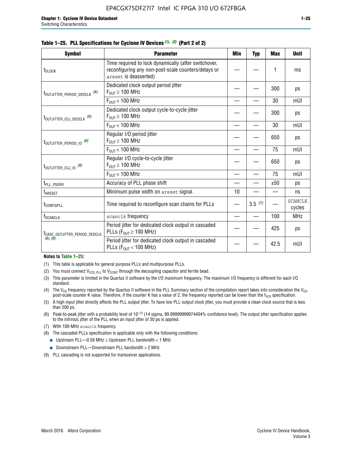| <b>Symbol</b>                            | <b>Parameter</b>                                                                                                                     | Min             | <b>Typ</b> | <b>Max</b> | <b>Unit</b>              |
|------------------------------------------|--------------------------------------------------------------------------------------------------------------------------------------|-----------------|------------|------------|--------------------------|
| t <sub>DLOCK</sub>                       | Time required to lock dynamically (after switchover,<br>reconfiguring any non-post-scale counters/delays or<br>areset is deasserted) |                 |            |            | ms                       |
| t <sub>outjitter_period_dedclk</sub> (6) | Dedicated clock output period jitter<br>$F_{\text{OUT}} \geq 100 \text{ MHz}$                                                        |                 |            | 300        | ps                       |
|                                          | $F_{OUT}$ < 100 MHz                                                                                                                  |                 |            | 30         | mUI                      |
| t <sub>outjitter_ccj_dedclk</sub> (6)    | Dedicated clock output cycle-to-cycle jitter<br>$F_{\text{OUT}} \geq 100 \text{ MHz}$                                                |                 |            | 300        | ps                       |
|                                          | $F_{\text{OUT}}$ < 100 MHz                                                                                                           |                 |            | 30         | mUI                      |
| t <sub>outjitter_period_io</sub> (6)     | Regular I/O period jitter<br>$F_{\text{OUT}} \geq 100 \text{ MHz}$                                                                   |                 |            | 650        | ps                       |
|                                          | $F_{OUT}$ < 100 MHz                                                                                                                  |                 |            | 75         | mUI                      |
| $t_{\text{OUTJITTER\_CCJ\_10}}$ (6)      | Regular I/O cycle-to-cycle jitter<br>$F_{OUT} \ge 100$ MHz                                                                           |                 |            | 650        | ps                       |
|                                          | $F_{OUT}$ < 100 MHz                                                                                                                  |                 |            | 75         | mUI                      |
| t <sub>PLL_PSERR</sub>                   | Accuracy of PLL phase shift                                                                                                          |                 |            | ±50        | ps                       |
| t <sub>ARESET</sub>                      | Minimum pulse width on areset signal.                                                                                                | 10 <sup>1</sup> |            |            | ns                       |
| t <sub>configpll</sub>                   | Time required to reconfigure scan chains for PLLs                                                                                    |                 | 3.5(7)     |            | <b>SCANCLK</b><br>cycles |

#### **Table 1–25. PLL Specifications for Cyclone IV Devices** *(1), (2)* **(Part 2 of 2)**

| ICASC OUTJITTER PERIOD DEDCLK<br>(8), (9)                                       | T GITOU JILLOI TOI UGUICALOU CIUCK UULDUL III CASCAUGU<br>PLLs ( $F_{OIII} \ge 100$ MHz) |  |  | 425  | ps  |  |  |  |  |  |
|---------------------------------------------------------------------------------|------------------------------------------------------------------------------------------|--|--|------|-----|--|--|--|--|--|
|                                                                                 | Period jitter for dedicated clock output in cascaded<br>PLLs ( $F_{OIII}$ < 100 MHz)     |  |  | 42.5 | mUI |  |  |  |  |  |
| Notes to Table 1-25:                                                            |                                                                                          |  |  |      |     |  |  |  |  |  |
| This table is applicable for general purpose PLLs and multipurpose PLLs.<br>(1) |                                                                                          |  |  |      |     |  |  |  |  |  |

 $f_{\text{SCANCLK}}$  scanclk frequency  $\vert - \vert - \vert$  100 MHz

Period jitter for dedicated clock output in cascaded

- (2) You must connect  $V_{CCD-PLL}$  to  $V_{CCINT}$  through the decoupling capacitor and ferrite bead.
- (3) This parameter is limited in the Quartus II software by the I/O maximum frequency. The maximum I/O frequency is different for each I/O standard.
- (4) The V<sub>CO</sub> frequency reported by the Quartus II software in the PLL Summary section of the compilation report takes into consideration the V<sub>CO</sub> post-scale counter K value. Therefore, if the counter K has a value of 2, the frequency reported can be lower than the f<sub>VCO</sub> specification.
- (5) A high input jitter directly affects the PLL output jitter. To have low PLL output clock jitter, you must provide a clean clock source that is less than 200 ps.
- (6) Peak-to-peak jitter with a probability level of 10–12 (14 sigma, 99.99999999974404% confidence level). The output jitter specification applies to the intrinsic jitter of the PLL when an input jitter of 30 ps is applied.
- (7) With 100-MHz scanclk frequency.
- (8) The cascaded PLLs specification is applicable only with the following conditions:
	- **■** Upstream PLL—0.59 MHz  $\leq$  Upstream PLL bandwidth  $<$  1 MHz
	- Downstream PLL—Downstream PLL bandwidth > 2 MHz
- (9) PLL cascading is not supported for transceiver applications.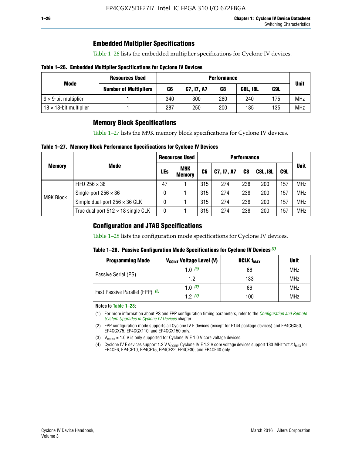### **Embedded Multiplier Specifications**

Table 1–26 lists the embedded multiplier specifications for Cyclone IV devices.

#### **Table 1–26. Embedded Multiplier Specifications for Cyclone IV Devices**

|                                | <b>Resources Used</b>        | <b>Performance</b> |                                              |     |     |     |             |  |  |
|--------------------------------|------------------------------|--------------------|----------------------------------------------|-----|-----|-----|-------------|--|--|
| Mode                           | <b>Number of Multipliers</b> | C6                 | C9L<br>  C7, I7, A7<br>C8<br><b>C8L, I8L</b> |     |     |     | <b>Unit</b> |  |  |
| $9 \times 9$ -bit multiplier   |                              | 340                | 300                                          | 260 | 240 | 175 | <b>MHz</b>  |  |  |
| $18 \times 18$ -bit multiplier |                              | 287                | 250                                          | 200 | 185 | 135 | <b>MHz</b>  |  |  |

### **Memory Block Specifications**

Table 1–27 lists the M9K memory block specifications for Cyclone IV devices.

#### **Table 1–27. Memory Block Performance Specifications for Cyclone IV Devices**

|               |                                           |    | <b>Resources Used</b>       |                |            |                |                 |     |             |
|---------------|-------------------------------------------|----|-----------------------------|----------------|------------|----------------|-----------------|-----|-------------|
| <b>Memory</b> | <b>Mode</b>                               |    | <b>M9K</b><br><b>Memory</b> | C <sub>6</sub> | C7, I7, A7 | C <sub>8</sub> | <b>C8L, I8L</b> | C9L | <b>Unit</b> |
| M9K Block     | FIFO 256 $\times$ 36                      | 47 |                             | 315            | 274        | 238            | 200             | 157 | <b>MHz</b>  |
|               | Single-port $256 \times 36$               | 0  |                             | 315            | 274        | 238            | 200             | 157 | <b>MHz</b>  |
|               | Simple dual-port $256 \times 36$ CLK      | 0  |                             | 315            | 274        | 238            | 200             | 157 | <b>MHz</b>  |
|               | True dual port $512 \times 18$ single CLK | 0  |                             | 315            | 274        | 238            | 200             | 157 | <b>MHz</b>  |

### **Configuration and JTAG Specifications**

Table 1–28 lists the configuration mode specifications for Cyclone IV devices.

#### **Table 1–28. Passive Configuration Mode Specifications for Cyclone IV Devices** *(1)*

| <b>Programming Mode</b>         | V <sub>CCINT</sub> Voltage Level (V) | <b>DCLK f<sub>MAX</sub></b> | <b>Unit</b> |
|---------------------------------|--------------------------------------|-----------------------------|-------------|
| Passive Serial (PS)             | 1.0 $(3)$                            | 66                          | MHz         |
|                                 | 1.2                                  | 133                         | MHz         |
| Fast Passive Parallel (FPP) (2) | 1.0 $(3)$                            | 66                          | <b>MHz</b>  |
|                                 | 12(4)                                | 100                         | <b>MHz</b>  |

#### **Notes to Table 1–28:**

- (1) For more information about PS and FPP configuration timing parameters, refer to the *[Configuration and Remote](http://www.altera.com/literature/hb/cyclone-iv/cyiv-51008.pdf)  [System Upgrades in Cyclone IV Devices](http://www.altera.com/literature/hb/cyclone-iv/cyiv-51008.pdf)* chapter.
- (2) FPP configuration mode supports all Cyclone IV E devices (except for E144 package devices) and EP4CGX50, EP4CGX75, EP4CGX110, and EP4CGX150 only.
- (3)  $V_{CCMT}$  = 1.0 V is only supported for Cyclone IV E 1.0 V core voltage devices.
- (4) Cyclone IV E devices support 1.2 V V<sub>CCINT</sub>. Cyclone IV E 1.2 V core voltage devices support 133 MHz DCLK f<sub>MAX</sub> for EP4CE6, EP4CE10, EP4CE15, EP4CE22, EP4CE30, and EP4CE40 only.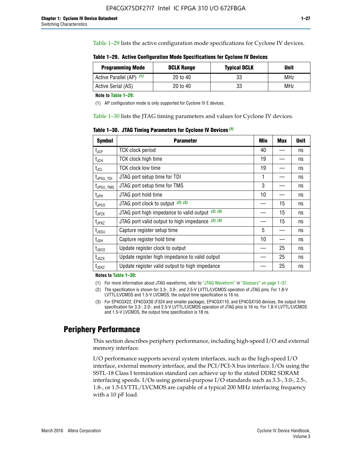Table 1–29 lists the active configuration mode specifications for Cyclone IV devices.

| Table 1–29. Active Configuration Mode Specifications for Cyclone IV Devices |  |  |  |
|-----------------------------------------------------------------------------|--|--|--|
|-----------------------------------------------------------------------------|--|--|--|

| <b>Programming Mode</b>  | <b>DCLK Range</b> | <b>Typical DCLK</b> | Unit |
|--------------------------|-------------------|---------------------|------|
| Active Parallel (AP) (1) | 20 to 40          | 33                  | MHz  |
| Active Serial (AS)       | 20 to 40          | 33                  | MHz  |

**Note to Table 1–29:**

(1) AP configuration mode is only supported for Cyclone IV E devices.

Table 1–30 lists the JTAG timing parameters and values for Cyclone IV devices.

**Table 1–30. JTAG Timing Parameters for Cyclone IV Devices** *(1)*

| <b>Symbol</b>                | <b>Parameter</b>                                       | Min | <b>Max</b> | <b>Unit</b> |
|------------------------------|--------------------------------------------------------|-----|------------|-------------|
| $t_{JCP}$                    | <b>TCK clock period</b>                                | 40  |            | ns          |
| $t_{\sf JCH}$                | TCK clock high time                                    | 19  |            | ns          |
| $t_{\sf JCL}$                | <b>TCK clock low time</b>                              | 19  |            | ns          |
| $t_{JPSU\_TDI}$              | JTAG port setup time for TDI                           | 1   |            | ns          |
| t <sub>JPSU_TMS</sub>        | JTAG port setup time for TMS                           | 3   |            | ns          |
| $t_{\sf JPH}$                | JTAG port hold time                                    | 10  |            | ns          |
| t <sub>JPCO</sub>            | JTAG port clock to output (2), (3)                     |     | 15         | ns          |
| $t_{JPZX}$                   | JTAG port high impedance to valid output $(2)$ , $(3)$ |     | 15         | ns          |
| t <sub>JPXZ</sub>            | JTAG port valid output to high impedance $(2)$ , $(3)$ |     | 15         | ns          |
| $t_{\rm JSSU}$               | Capture register setup time                            | 5   |            | ns          |
| $t_{\mathsf{JSH}}$           | Capture register hold time                             | 10  |            | ns          |
| t <sub>JSCO</sub>            | Update register clock to output                        |     | 25         | ns          |
| $t_{\footnotesize \rm JSZX}$ | Update register high impedance to valid output         |     | 25         | ns          |
| $t_{JSXZ}$                   | Update register valid output to high impedance         |     | 25         | ns          |

**Notes to Table 1–30:**

(1) For more information about JTAG waveforms, refer to "JTAG Waveform" in "Glossary" on page 1–37.

(2) The specification is shown for 3.3-, 3.0-, and 2.5-V LVTTL/LVCMOS operation of JTAG pins. For 1.8-V LVTTL/LVCMOS and 1.5-V LVCMOS, the output time specification is 16 ns.

(3) For EP4CGX22, EP4CGX30 (F324 and smaller package), EP4CGX110, and EP4CGX150 devices, the output time specification for 3.3-, 3.0-, and 2.5-V LVTTL/LVCMOS operation of JTAG pins is 16 ns. For 1.8-V LVTTL/LVCMOS and 1.5-V LVCMOS, the output time specification is 18 ns.

## **Periphery Performance**

This section describes periphery performance, including high-speed I/O and external memory interface.

I/O performance supports several system interfaces, such as the high-speed I/O interface, external memory interface, and the PCI/PCI-X bus interface. I/Os using the SSTL-18 Class I termination standard can achieve up to the stated DDR2 SDRAM interfacing speeds. I/Os using general-purpose I/O standards such as 3.3-, 3.0-, 2.5-, 1.8-, or 1.5-LVTTL/LVCMOS are capable of a typical 200 MHz interfacing frequency with a 10 pF load.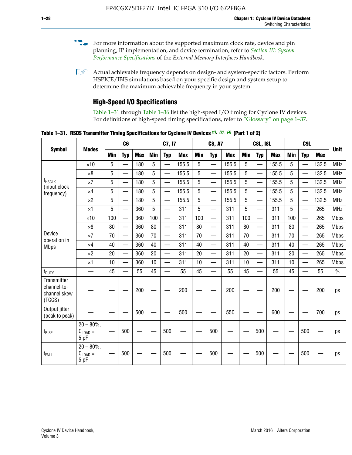- For more information about the supported maximum clock rate, device and pin planning, IP implementation, and device termination, refer to *[Section III: System](http://www.altera.com/literature/hb/external-memory/emi_intro_specs.pdf)  [Performance Specifications](http://www.altera.com/literature/hb/external-memory/emi_intro_specs.pdf)* of the *External Memory Interfaces Handbook*.
- **1 Actual achievable frequency depends on design- and system-specific factors. Perform** HSPICE/IBIS simulations based on your specific design and system setup to determine the maximum achievable frequency in your system.

## **High-Speed I/O Specifications**

Table 1–31 through Table 1–36 list the high-speed I/O timing for Cyclone IV devices. For definitions of high-speed timing specifications, refer to "Glossary" on page 1–37.

**Table 1–31. RSDS Transmitter Timing Specifications for Cyclone IV Devices** *(1)***,** *(2)***,** *(4)* **(Part 1 of 2)**

|                                                      |                                     |            | C6                       |            | C7, I7     |                          | <b>C8, A7</b> |                 |                          | <b>C8L, I8L</b> |            | C <sub>9</sub> L         |            |     |                          |            |             |
|------------------------------------------------------|-------------------------------------|------------|--------------------------|------------|------------|--------------------------|---------------|-----------------|--------------------------|-----------------|------------|--------------------------|------------|-----|--------------------------|------------|-------------|
| <b>Symbol</b>                                        | <b>Modes</b>                        | <b>Min</b> | <b>Typ</b>               | <b>Max</b> | <b>Min</b> | <b>Typ</b>               | <b>Max</b>    | <b>Min</b>      | <b>Typ</b>               | <b>Max</b>      | <b>Min</b> | <b>Typ</b>               | <b>Max</b> | Min | <b>Typ</b>               | <b>Max</b> | <b>Unit</b> |
|                                                      | $\times$ 10                         | 5          | $\overline{\phantom{0}}$ | 180        | 5          | —                        | 155.5         | 5               | $\overline{\phantom{0}}$ | 155.5           | 5          |                          | 155.5      | 5   |                          | 132.5      | <b>MHz</b>  |
|                                                      | $\times 8$                          | 5          |                          | 180        | 5          |                          | 155.5         | $5\phantom{.0}$ | $\overline{\phantom{0}}$ | 155.5           | 5          |                          | 155.5      | 5   |                          | 132.5      | <b>MHz</b>  |
| f <sub>HSCLK</sub><br>(input clock<br>frequency)     | $\times 7$                          | 5          | $\overline{\phantom{0}}$ | 180        | 5          |                          | 155.5         | 5               | $\overline{\phantom{0}}$ | 155.5           | 5          |                          | 155.5      | 5   |                          | 132.5      | <b>MHz</b>  |
|                                                      | $\times$ 4                          | 5          | $\overline{\phantom{0}}$ | 180        | 5          | $\overline{\phantom{0}}$ | 155.5         | 5               | $\equiv$                 | 155.5           | 5          | $\overline{\phantom{0}}$ | 155.5      | 5   | $\overline{\phantom{0}}$ | 132.5      | <b>MHz</b>  |
|                                                      | $\times 2$                          | 5          | $\equiv$                 | 180        | 5          |                          | 155.5         | 5               | $\equiv$                 | 155.5           | 5          | $\equiv$                 | 155.5      | 5   | $\overline{\phantom{0}}$ | 132.5      | <b>MHz</b>  |
|                                                      | $\times$ 1                          | 5          |                          | 360        | 5          |                          | 311           | 5               | $\overline{\phantom{0}}$ | 311             | 5          | $\overline{\phantom{0}}$ | 311        | 5   |                          | 265        | <b>MHz</b>  |
|                                                      | $\times$ 10                         | 100        | $\overline{\phantom{0}}$ | 360        | 100        |                          | 311           | 100             | $\overline{\phantom{0}}$ | 311             | 100        | $\overline{\phantom{0}}$ | 311        | 100 |                          | 265        | <b>Mbps</b> |
| Device<br>operation in<br><b>Mbps</b>                | $\times 8$                          | 80         |                          | 360        | 80         |                          | 311           | 80              | $\overline{\phantom{0}}$ | 311             | 80         | $\overline{\phantom{0}}$ | 311        | 80  | $\overline{\phantom{0}}$ | 265        | <b>Mbps</b> |
|                                                      | $\times 7$                          | 70         | $\overline{\phantom{0}}$ | 360        | 70         |                          | 311           | 70              | $\overline{\phantom{0}}$ | 311             | 70         | $\overline{\phantom{0}}$ | 311        | 70  | $\overline{\phantom{0}}$ | 265        | <b>Mbps</b> |
|                                                      | $\times$ 4                          | 40         |                          | 360        | 40         |                          | 311           | 40              |                          | 311             | 40         | $\overline{\phantom{0}}$ | 311        | 40  | $\overline{\phantom{0}}$ | 265        | <b>Mbps</b> |
|                                                      | $\times 2$                          | 20         |                          | 360        | 20         | $\equiv$                 | 311           | 20              | $\overline{\phantom{0}}$ | 311             | 20         |                          | 311        | 20  | $\equiv$                 | 265        | <b>Mbps</b> |
|                                                      | $\times$ 1                          | 10         |                          | 360        | 10         |                          | 311           | 10              |                          | 311             | 10         | $\overline{\phantom{0}}$ | 311        | 10  | $\overline{\phantom{0}}$ | 265        | <b>Mbps</b> |
| t <sub>DUTY</sub>                                    | —                                   | 45         | $\overline{\phantom{0}}$ | 55         | 45         |                          | 55            | 45              | $\overline{\phantom{0}}$ | 55              | 45         |                          | 55         | 45  |                          | 55         | $\%$        |
| Transmitter<br>channel-to-<br>channel skew<br>(TCCS) |                                     |            |                          | 200        |            |                          | 200           |                 |                          | 200             |            |                          | 200        |     |                          | 200        | ps          |
| Output jitter<br>(peak to peak)                      |                                     |            |                          | 500        |            |                          | 500           |                 |                          | 550             |            |                          | 600        |     |                          | 700        | ps          |
| $t_{\text{RISE}}$                                    | $20 - 80\%$<br>$C_{LOAD} =$<br>5 pF |            | 500                      |            |            | 500                      |               |                 | 500                      |                 |            | 500                      |            |     | 500                      |            | ps          |
| t <sub>FALL</sub>                                    | $20 - 80\%$<br>$C_{LOAD} =$<br>5 pF |            | 500                      |            |            | 500                      |               |                 | 500                      |                 |            | 500                      |            |     | 500                      |            | ps          |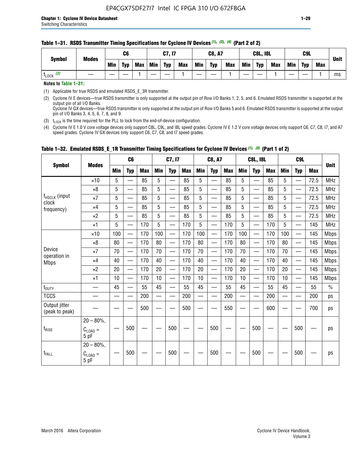#### **Table 1–31. RSDS Transmitter Timing Specifications for Cyclone IV Devices** *(1)***,** *(2)***,** *(4)* **(Part 2 of 2)**

**Notes to Table 1–31:**

(1) Applicable for true RSDS and emulated RSDS\_E\_3R transmitter.

(2) Cyclone IV E devices—true RSDS transmitter is only supported at the output pin of Row I/O Banks 1, 2, 5, and 6. Emulated RSDS transmitter is supported at the output pin of all I/O Banks. Cyclone IV GX devices—true RSDS transmitter is only supported at the output pin of Row I/O Banks 5 and 6. Emulated RSDS transmitter is supported at the output

pin of I/O Banks 3, 4, 5, 6, 7, 8, and 9.

(3)  $t_{\text{LOCK}}$  is the time required for the PLL to lock from the end-of-device configuration.

(4) Cyclone IV E 1.0 V core voltage devices only support C8L, C9L, and I8L speed grades. Cyclone IV E 1.2 V core voltage devices only support C6, C7, C8, I7, and A7 speed grades. Cyclone IV GX devices only support C6, C7, C8, and I7 speed grades.

| <b>Symbol</b>                   |                                              |     | C <sub>6</sub>           |     |            | C7, I7                   |            |            | <b>C8, A7</b>                  |     |     | <b>C8L, I8L</b>          |            |            | C <sub>9</sub> L         |            |               |
|---------------------------------|----------------------------------------------|-----|--------------------------|-----|------------|--------------------------|------------|------------|--------------------------------|-----|-----|--------------------------|------------|------------|--------------------------|------------|---------------|
|                                 | <b>Modes</b>                                 | Min | <b>Typ</b>               | Max | <b>Min</b> | <b>Typ</b>               | <b>Max</b> | <b>Min</b> | <b>Typ</b>                     | Max | Min | <b>Typ</b>               | <b>Max</b> | <b>Min</b> | <b>Typ</b>               | <b>Max</b> | <b>Unit</b>   |
|                                 | $\times$ 10                                  | 5   | $\overline{\phantom{0}}$ | 85  | 5          | $\overline{\phantom{0}}$ | 85         | 5          | —                              | 85  | 5   | $\overline{\phantom{0}}$ | 85         | 5          |                          | 72.5       | <b>MHz</b>    |
|                                 | $\times 8$                                   | 5   | —                        | 85  | 5          | e e                      | 85         | 5          | —                              | 85  | 5   | $\overline{\phantom{0}}$ | 85         | 5          | —                        | 72.5       | <b>MHz</b>    |
| f <sub>HSCLK</sub> (input       | $\times 7$                                   | 5   | —                        | 85  | 5          | $\overline{\phantom{a}}$ | 85         | 5          | $\overline{\phantom{0}}$       | 85  | 5   | $\overline{\phantom{0}}$ | 85         | 5          |                          | 72.5       | <b>MHz</b>    |
| clock<br>frequency)             | $\times$ 4                                   | 5   | $\overline{\phantom{0}}$ | 85  | 5          | $\overline{\phantom{0}}$ | 85         | 5          | $\overline{\phantom{0}}$       | 85  | 5   | $\overline{\phantom{0}}$ | 85         | 5          |                          | 72.5       | <b>MHz</b>    |
|                                 | $\times 2$                                   | 5   | $\qquad \qquad$          | 85  | 5          | $\overline{\phantom{a}}$ | 85         | 5          | $\qquad \qquad$                | 85  | 5   | $\qquad \qquad$          | 85         | 5          | $\overline{\phantom{0}}$ | 72.5       | <b>MHz</b>    |
|                                 | $\times$ 1                                   | 5   | $\overline{\phantom{0}}$ | 170 | 5          |                          | 170        | 5          | $\overline{\phantom{0}}$       | 170 | 5   | $\overline{\phantom{0}}$ | 170        | 5          |                          | 145        | <b>MHz</b>    |
|                                 | $\times$ 10                                  | 100 | $\overline{\phantom{0}}$ | 170 | 100        | <u>e a</u>               | 170        | 100        | $\overline{\phantom{0}}$       | 170 | 100 |                          | 170        | 100        | $\qquad \qquad$          | 145        | <b>Mbps</b>   |
|                                 | $\times 8$                                   | 80  | $\overline{\phantom{0}}$ | 170 | 80         |                          | 170        | 80         | $\overline{\phantom{0}}$       | 170 | 80  |                          | 170        | 80         |                          | 145        | <b>Mbps</b>   |
| Device                          | $\times 7$                                   | 70  |                          | 170 | 70         | $\overline{\phantom{0}}$ | 170        | 70         | $\qquad \qquad \longleftarrow$ | 170 | 70  | $\qquad \qquad$          | 170        | 70         | $\overline{\phantom{m}}$ | 145        | <b>Mbps</b>   |
| operation in<br><b>Mbps</b>     | $\times$ 4                                   | 40  | $\overline{\phantom{0}}$ | 170 | 40         | —                        | 170        | 40         | $\overline{\phantom{0}}$       | 170 | 40  | $\overline{\phantom{0}}$ | 170        | 40         | —                        | 145        | <b>Mbps</b>   |
|                                 | $\times 2$                                   | 20  | $\overline{\phantom{0}}$ | 170 | 20         | $\overline{\phantom{0}}$ | 170        | 20         | $\overline{\phantom{0}}$       | 170 | 20  | $\overline{\phantom{0}}$ | 170        | 20         |                          | 145        | <b>Mbps</b>   |
|                                 | $\times$ 1                                   | 10  | $\overline{\phantom{0}}$ | 170 | 10         | $\overline{\phantom{0}}$ | 170        | 10         | $\overline{\phantom{0}}$       | 170 | 10  | $\overline{\phantom{0}}$ | 170        | 10         |                          | 145        | <b>Mbps</b>   |
| t <sub>DUTY</sub>               |                                              | 45  | $\overline{\phantom{0}}$ | 55  | 45         | $\sim$                   | 55         | 45         | —                              | 55  | 45  | $\overline{\phantom{0}}$ | 55         | 45         |                          | 55         | $\frac{0}{0}$ |
| <b>TCCS</b>                     |                                              |     |                          | 200 |            |                          | 200        | $\sim$     |                                | 200 |     | $\overline{\phantom{0}}$ | 200        |            |                          | 200        | ps            |
| Output jitter<br>(peak to peak) |                                              |     |                          | 500 |            |                          | 500        |            |                                | 550 |     |                          | 600        |            |                          | 700        | ps            |
| $t_{\text{RISE}}$               | $20 - 80\%$<br>$C_{LOAD} =$<br>5 pF          |     | 500                      |     |            | 500                      |            |            | 500                            |     |     | 500                      |            |            | 500                      |            | ps            |
| t <sub>FALL</sub>               | $20 - 80\%$ ,<br>$C_{\text{LOAD}} =$<br>5 pF |     | 500                      |     |            | 500                      |            |            | 500                            |     |     | 500                      |            |            | 500                      |            | ps            |

### **Table 1–32. Emulated RSDS\_E\_1R Transmitter Timing Specifications for Cyclone IV Devices** *(1), (3)* **(Part 1 of 2)**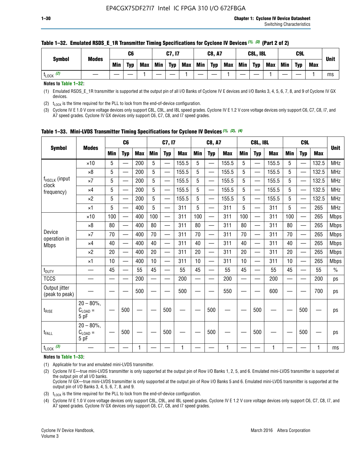|                      |              |     | C6         |            |            | C7, I7     |            |            | <b>C8, A7</b> |            |            | <b>C8L, I8L</b> |            |     | C <sub>9</sub> L |     | <b>Unit</b> |
|----------------------|--------------|-----|------------|------------|------------|------------|------------|------------|---------------|------------|------------|-----------------|------------|-----|------------------|-----|-------------|
| <b>Symbol</b>        | <b>Modes</b> | Min | <b>Typ</b> | <b>Max</b> | <b>Min</b> | <b>Typ</b> | <b>Max</b> | <b>Min</b> | <b>Typ</b>    | <b>Max</b> | <b>Min</b> | <b>Typ</b>      | <b>Max</b> | Min | <b>Typ</b>       | Max |             |
| (2)<br><b>L</b> LOCK |              |     |            |            |            |            |            |            |               |            |            |                 |            |     |                  |     | ms          |

#### **Table 1–32. Emulated RSDS\_E\_1R Transmitter Timing Specifications for Cyclone IV Devices** *(1), (3)* **(Part 2 of 2)**

**Notes to Table 1–32:**

(1) Emulated RSDS\_E\_1R transmitter is supported at the output pin of all I/O Banks of Cyclone IV E devices and I/O Banks 3, 4, 5, 6, 7, 8, and 9 of Cyclone IV GX devices.

(2)  $t_{\text{LOCK}}$  is the time required for the PLL to lock from the end-of-device configuration.

(3) Cyclone IV E 1.0 V core voltage devices only support C8L, C9L, and I8L speed grades. Cyclone IV E 1.2 V core voltage devices only support C6, C7, C8, I7, and A7 speed grades. Cyclone IV GX devices only support C6, C7, C8, and I7 speed grades.

| <b>Symbol</b>                   |                                     |            | C <sub>6</sub>           |            |            | C7, I7                   |            |            | <b>C8, A7</b>            |            |                          | <b>C8L, I8L</b>          |            |            | C <sub>9</sub> L |            |             |
|---------------------------------|-------------------------------------|------------|--------------------------|------------|------------|--------------------------|------------|------------|--------------------------|------------|--------------------------|--------------------------|------------|------------|------------------|------------|-------------|
|                                 | <b>Modes</b>                        | <b>Min</b> | <b>Typ</b>               | <b>Max</b> | <b>Min</b> | <b>Typ</b>               | <b>Max</b> | <b>Min</b> | <b>Typ</b>               | <b>Max</b> | <b>Min</b>               | <b>Typ</b>               | <b>Max</b> | <b>Min</b> | <b>Typ</b>       | <b>Max</b> | <b>Unit</b> |
|                                 | $\times$ 10                         | 5          | —<br>—                   | 200        | 5          |                          | 155.5      | 5          | ÷,                       | 155.5      | 5                        | $\overline{\phantom{0}}$ | 155.5      | 5          |                  | 132.5      | <b>MHz</b>  |
|                                 | $\times 8$                          | 5          | $\overline{\phantom{0}}$ | 200        | 5          | $\overline{\phantom{0}}$ | 155.5      | 5          | —                        | 155.5      | 5                        |                          | 155.5      | 5          |                  | 132.5      | <b>MHz</b>  |
| f <sub>HSCLK</sub> (input       | $\times 7$                          | 5          | $\overline{\phantom{0}}$ | 200        | 5          | —                        | 155.5      | 5          | $\overline{\phantom{0}}$ | 155.5      | 5                        |                          | 155.5      | 5          | —                | 132.5      | <b>MHz</b>  |
| clock<br>frequency)             | $\times$ 4                          | 5          | $\overline{\phantom{0}}$ | 200        | 5          | —                        | 155.5      | 5          | $\overline{\phantom{0}}$ | 155.5      | 5                        | $\overline{\phantom{0}}$ | 155.5      | 5          | —                | 132.5      | <b>MHz</b>  |
|                                 | $\times 2$                          | 5          | $\overline{\phantom{0}}$ | 200        | 5          | $\overline{\phantom{0}}$ | 155.5      | 5          | $\overline{\phantom{0}}$ | 155.5      | 5                        | $\overline{\phantom{0}}$ | 155.5      | 5          |                  | 132.5      | <b>MHz</b>  |
|                                 | $\times$ 1                          | 5          | $\overline{\phantom{0}}$ | 400        | 5          |                          | 311        | 5          | —                        | 311        | 5                        | $\overline{\phantom{0}}$ | 311        | 5          |                  | 265        | <b>MHz</b>  |
|                                 | $\times$ 10                         | 100        |                          | 400        | 100        | $\overline{\phantom{0}}$ | 311        | 100        | $\overline{\phantom{0}}$ | 311        | 100                      | $\overline{\phantom{0}}$ | 311        | 100        |                  | 265        | <b>Mbps</b> |
|                                 | $\times 8$                          | 80         | $\overline{\phantom{0}}$ | 400        | 80         | $\equiv$                 | 311        | 80         | $\overline{\phantom{0}}$ | 311        | 80                       | —                        | 311        | 80         |                  | 265        | <b>Mbps</b> |
| Device                          | $\times 7$                          | 70         | $\overline{\phantom{0}}$ | 400        | 70         | $\overline{\phantom{0}}$ | 311        | 70         | $\qquad \qquad$          | 311        | 70                       |                          | 311        | 70         |                  | 265        | <b>Mbps</b> |
| operation in<br><b>Mbps</b>     | $\times 4$                          | 40         | $\overline{\phantom{0}}$ | 400        | 40         |                          | 311        | 40         | er<br>Here               | 311        | 40                       | $\overline{\phantom{0}}$ | 311        | 40         |                  | 265        | <b>Mbps</b> |
|                                 | $\times 2$                          | 20         | $\overline{\phantom{0}}$ | 400        | 20         | —                        | 311        | 20         | $\overline{\phantom{0}}$ | 311        | 20                       | $\overline{\phantom{0}}$ | 311        | 20         |                  | 265        | <b>Mbps</b> |
|                                 | ×1                                  | 10         | $\overline{\phantom{0}}$ | 400        | 10         | —                        | 311        | 10         | $\overline{\phantom{0}}$ | 311        | 10                       | $\overline{\phantom{0}}$ | 311        | 10         |                  | 265        | <b>Mbps</b> |
| t <sub>DUTY</sub>               |                                     | 45         | $\qquad \qquad$          | 55         | 45         |                          | 55         | 45         | $\overline{\phantom{0}}$ | 55         | 45                       | —                        | 55         | 45         |                  | 55         | $\%$        |
| <b>TCCS</b>                     |                                     |            |                          | 200        | —          |                          | 200        |            |                          | 200        | $\overline{\phantom{0}}$ |                          | 200        |            |                  | 200        | ps          |
| Output jitter<br>(peak to peak) |                                     |            |                          | 500        |            |                          | 500        |            |                          | 550        |                          |                          | 600        |            |                  | 700        | ps          |
| $t_{\text{RISE}}$               | $20 - 80\%$<br>$C_{LOAD} =$<br>5 pF |            | 500                      |            |            | 500                      |            |            | 500                      |            |                          | 500                      |            |            | 500              |            | ps          |
| t <sub>FALL</sub>               | $20 - 80\%$<br>$C_{LOAD} =$<br>5 pF |            | 500                      |            |            | 500                      |            |            | 500                      |            |                          | 500                      |            |            | 500              |            | ps          |
| $t_{\text{LOCK}}$ (3)           |                                     |            |                          | 1          |            |                          | 1          |            |                          | 1          |                          |                          | 1          |            |                  | 1          | ms          |

|  |  |  |  | Table 1-33. Mini-LVDS Transmitter Timing Specifications for Cyclone IV Devices (1), (2), (4) |  |  |  |  |  |  |
|--|--|--|--|----------------------------------------------------------------------------------------------|--|--|--|--|--|--|
|--|--|--|--|----------------------------------------------------------------------------------------------|--|--|--|--|--|--|

**Notes to Table 1–33:**

(1) Applicable for true and emulated mini-LVDS transmitter.

(2) Cyclone IV E—true mini-LVDS transmitter is only supported at the output pin of Row I/O Banks 1, 2, 5, and 6. Emulated mini-LVDS transmitter is supported at the output pin of all I/O banks.

Cyclone IV GX—true mini-LVDS transmitter is only supported at the output pin of Row I/O Banks 5 and 6. Emulated mini-LVDS transmitter is supported at the output pin of I/O Banks 3, 4, 5, 6, 7, 8, and 9.

(3)  $t_{\text{LOCK}}$  is the time required for the PLL to lock from the end-of-device configuration.

(4) Cyclone IV E 1.0 V core voltage devices only support C8L, C9L, and I8L speed grades. Cyclone IV E 1.2 V core voltage devices only support C6, C7, C8, I7, and A7 speed grades. Cyclone IV GX devices only support C6, C7, C8, and I7 speed grades.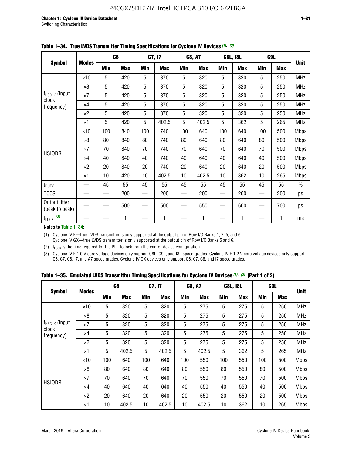|                                 |              |     | C <sub>6</sub> |     | C7, I7     |            | <b>C8, A7</b> |     | <b>C8L, I8L</b> |            | C <sub>9</sub> L | <b>Unit</b>   |
|---------------------------------|--------------|-----|----------------|-----|------------|------------|---------------|-----|-----------------|------------|------------------|---------------|
| <b>Symbol</b>                   | <b>Modes</b> | Min | <b>Max</b>     | Min | <b>Max</b> | <b>Min</b> | <b>Max</b>    | Min | <b>Max</b>      | <b>Min</b> | <b>Max</b>       |               |
|                                 | $\times$ 10  | 5   | 420            | 5   | 370        | 5          | 320           | 5   | 320             | 5          | 250              | <b>MHz</b>    |
|                                 | $\times 8$   | 5   | 420            | 5   | 370        | 5          | 320           | 5   | 320             | 5          | 250              | <b>MHz</b>    |
| f <sub>HSCLK</sub> (input       | $\times 7$   | 5   | 420            | 5   | 370        | 5          | 320           | 5   | 320             | 5          | 250              | <b>MHz</b>    |
| clock<br>frequency)             | $\times$ 4   | 5   | 420            | 5   | 370        | 5          | 320           | 5   | 320             | 5          | 250              | <b>MHz</b>    |
|                                 | $\times 2$   | 5   | 420            | 5   | 370        | 5          | 320           | 5   | 320             | 5          | 250              | <b>MHz</b>    |
|                                 | $\times$ 1   | 5   | 420            | 5   | 402.5      | 5          | 402.5         | 5   | 362             | 5          | 265              | <b>MHz</b>    |
|                                 | $\times$ 10  | 100 | 840            | 100 | 740        | 100        | 640           | 100 | 640             | 100        | 500              | <b>Mbps</b>   |
|                                 | $\times 8$   | 80  | 840            | 80  | 740        | 80         | 640           | 80  | 640             | 80         | 500              | <b>Mbps</b>   |
| <b>HSIODR</b>                   | $\times 7$   | 70  | 840            | 70  | 740        | 70         | 640           | 70  | 640             | 70         | 500              | <b>Mbps</b>   |
|                                 | $\times$ 4   | 40  | 840            | 40  | 740        | 40         | 640           | 40  | 640             | 40         | 500              | <b>Mbps</b>   |
|                                 | $\times 2$   | 20  | 840            | 20  | 740        | 20         | 640           | 20  | 640             | 20         | 500              | <b>Mbps</b>   |
|                                 | $\times$ 1   | 10  | 420            | 10  | 402.5      | 10         | 402.5         | 10  | 362             | 10         | 265              | <b>Mbps</b>   |
| t <sub>DUTY</sub>               |              | 45  | 55             | 45  | 55         | 45         | 55            | 45  | 55              | 45         | 55               | $\frac{0}{0}$ |
| <b>TCCS</b>                     |              |     | 200            |     | 200        |            | 200           |     | 200             |            | 200              | ps            |
| Output jitter<br>(peak to peak) |              |     | 500            |     | 500        |            | 550           |     | 600             |            | 700              | ps            |
| $t_{\text{LOCK}}$ (2)           |              |     | 1              |     | 1          |            | 1             |     | 1               |            | 1                | ms            |

**Table 1–34. True LVDS Transmitter Timing Specifications for Cyclone IV Devices** *(1)***,** *(3)*

**Notes to Table 1–34:**

(1) Cyclone IV E—true LVDS transmitter is only supported at the output pin of Row I/O Banks 1, 2, 5, and 6. Cyclone IV GX—true LVDS transmitter is only supported at the output pin of Row I/O Banks 5 and 6.

(2)  $t_{\text{LOCK}}$  is the time required for the PLL to lock from the end-of-device configuration.

(3) Cyclone IV E 1.0 V core voltage devices only support C8L, C9L, and I8L speed grades. Cyclone IV E 1.2 V core voltage devices only support C6, C7, C8, I7, and A7 speed grades. Cyclone IV GX devices only support C6, C7, C8, and I7 speed grades.

|  |  |  |  | Table 1–35. Emulated LVDS Transmitter Timing Specifications for Cyclone IV Devices <sup>(1), (3)</sup> (Part 1 of 2) |  |  |
|--|--|--|--|----------------------------------------------------------------------------------------------------------------------|--|--|
|--|--|--|--|----------------------------------------------------------------------------------------------------------------------|--|--|

|                             |              | C <sub>6</sub> |            | C7, I7     |            | <b>C8, A7</b> |            | <b>C8L, I8L</b> |            |            | C <sub>9</sub> L |             |
|-----------------------------|--------------|----------------|------------|------------|------------|---------------|------------|-----------------|------------|------------|------------------|-------------|
| <b>Symbol</b>               | <b>Modes</b> | Min            | <b>Max</b> | <b>Min</b> | <b>Max</b> | <b>Min</b>    | <b>Max</b> | <b>Min</b>      | <b>Max</b> | <b>Min</b> | <b>Max</b>       | <b>Unit</b> |
|                             | $\times$ 10  | 5              | 320        | 5          | 320        | 5             | 275        | 5               | 275        | 5          | 250              | <b>MHz</b>  |
|                             | $\times 8$   | 5              | 320        | 5          | 320        | 5             | 275        | 5               | 275        | 5          | 250              | <b>MHz</b>  |
| $f_{HSCLK}$ (input<br>clock | $\times 7$   | 5              | 320        | 5          | 320        | 5             | 275        | 5               | 275        | 5          | 250              | <b>MHz</b>  |
| frequency)                  | $\times$ 4   | 5              | 320        | 5          | 320        | 5             | 275        | 5               | 275        | 5          | 250              | <b>MHz</b>  |
|                             | $\times 2$   | 5              | 320        | 5          | 320        | 5             | 275        | 5               | 275        | 5          | 250              | <b>MHz</b>  |
|                             | $\times$ 1   | 5              | 402.5      | 5          | 402.5      | 5             | 402.5      | 5               | 362        | 5          | 265              | <b>MHz</b>  |
|                             | $\times$ 10  | 100            | 640        | 100        | 640        | 100           | 550        | 100             | 550        | 100        | 500              | <b>Mbps</b> |
|                             | $\times 8$   | 80             | 640        | 80         | 640        | 80            | 550        | 80              | 550        | 80         | 500              | <b>Mbps</b> |
| <b>HSIODR</b>               | $\times 7$   | 70             | 640        | 70         | 640        | 70            | 550        | 70              | 550        | 70         | 500              | <b>Mbps</b> |
|                             | $\times$ 4   | 40             | 640        | 40         | 640        | 40            | 550        | 40              | 550        | 40         | 500              | <b>Mbps</b> |
|                             | $\times 2$   | 20             | 640        | 20         | 640        | 20            | 550        | 20              | 550        | 20         | 500              | <b>Mbps</b> |
|                             | $\times$ 1   | 10             | 402.5      | 10         | 402.5      | 10            | 402.5      | 10              | 362        | 10         | 265              | <b>Mbps</b> |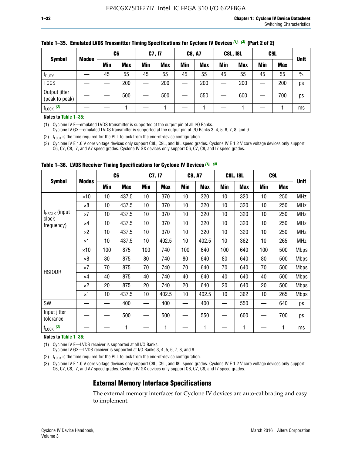| <b>Symbol</b>                   |              | C <sub>6</sub> |            | C7, I7 |            | <b>C8, A7</b> |            | <b>C8L, I8L</b> |            |     | C <sub>9</sub> L |               |
|---------------------------------|--------------|----------------|------------|--------|------------|---------------|------------|-----------------|------------|-----|------------------|---------------|
|                                 | <b>Modes</b> | Min            | <b>Max</b> | Min    | <b>Max</b> | <b>Min</b>    | <b>Max</b> | <b>Min</b>      | <b>Max</b> | Min | <b>Max</b>       | <b>Unit</b>   |
| t <sub>DUTY</sub>               |              | 45             | 55         | 45     | 55         | 45            | 55         | 45              | 55         | 45  | 55               | $\frac{0}{0}$ |
| <b>TCCS</b>                     |              |                | 200        |        | 200        |               | 200        |                 | 200        |     | 200              | ps            |
| Output jitter<br>(peak to peak) |              |                | 500        |        | 500        |               | 550        |                 | 600        | —   | 700              | ps            |
| $t_{\text{LOCK}}$ (2)           |              |                |            |        |            |               |            |                 |            |     |                  | ms            |

#### **Table 1–35. Emulated LVDS Transmitter Timing Specifications for Cyclone IV Devices** *(1)***,** *(3)* **(Part 2 of 2)**

#### **Notes to Table 1–35:**

(1) Cyclone IV E—emulated LVDS transmitter is supported at the output pin of all I/O Banks.

Cyclone IV GX—emulated LVDS transmitter is supported at the output pin of I/O Banks 3, 4, 5, 6, 7, 8, and 9.

(2)  $t_{\text{LOCK}}$  is the time required for the PLL to lock from the end-of-device configuration.

(3) Cyclone IV E 1.0 V core voltage devices only support C8L, C9L, and I8L speed grades. Cyclone IV E 1.2 V core voltage devices only support C6, C7, C8, I7, and A7 speed grades. Cyclone IV GX devices only support C6, C7, C8, and I7 speed grades.

| <b>Symbol</b>                      |              | C <sub>6</sub> |            | C7, I7     |            | <b>C8, A7</b> |            |            | <b>C8L, I8L</b> | C <sub>9</sub> L         |            |             |
|------------------------------------|--------------|----------------|------------|------------|------------|---------------|------------|------------|-----------------|--------------------------|------------|-------------|
|                                    | <b>Modes</b> | <b>Min</b>     | <b>Max</b> | <b>Min</b> | <b>Max</b> | Min           | <b>Max</b> | <b>Min</b> | <b>Max</b>      | <b>Min</b>               | <b>Max</b> | <b>Unit</b> |
|                                    | $\times 10$  | 10             | 437.5      | 10         | 370        | 10            | 320        | 10         | 320             | 10                       | 250        | <b>MHz</b>  |
|                                    | $\times 8$   | 10             | 437.5      | 10         | 370        | 10            | 320        | 10         | 320             | 10                       | 250        | <b>MHz</b>  |
| f <sub>HSCLK</sub> (input<br>clock | $\times 7$   | 10             | 437.5      | 10         | 370        | 10            | 320        | 10         | 320             | 10                       | 250        | <b>MHz</b>  |
| frequency)                         | ×4           | 10             | 437.5      | 10         | 370        | 10            | 320        | 10         | 320             | 10                       | 250        | <b>MHz</b>  |
|                                    | $\times 2$   | 10             | 437.5      | 10         | 370        | 10            | 320        | 10         | 320             | 10                       | 250        | <b>MHz</b>  |
|                                    | ×1           | 10             | 437.5      | 10         | 402.5      | 10            | 402.5      | 10         | 362             | 10                       | 265        | <b>MHz</b>  |
|                                    | $\times$ 10  | 100            | 875        | 100        | 740        | 100           | 640        | 100        | 640             | 100                      | 500        | <b>Mbps</b> |
|                                    | $\times 8$   | 80             | 875        | 80         | 740        | 80            | 640        | 80         | 640             | 80                       | 500        | <b>Mbps</b> |
| <b>HSIODR</b>                      | $\times 7$   | 70             | 875        | 70         | 740        | 70            | 640        | 70         | 640             | 70                       | 500        | <b>Mbps</b> |
|                                    | $\times 4$   | 40             | 875        | 40         | 740        | 40            | 640        | 40         | 640             | 40                       | 500        | Mbps        |
|                                    | $\times 2$   | 20             | 875        | 20         | 740        | 20            | 640        | 20         | 640             | 20                       | 500        | Mbps        |
|                                    | ×1           | 10             | 437.5      | 10         | 402.5      | 10            | 402.5      | 10         | 362             | 10                       | 265        | <b>Mbps</b> |
| SW                                 |              |                | 400        |            | 400        |               | 400        |            | 550             | $\overline{\phantom{0}}$ | 640        | ps          |
| Input jitter<br>tolerance          |              |                | 500        |            | 500        |               | 550        |            | 600             | —                        | 700        | ps          |
| $t_{\text{LOCK}}$ (2)              |              |                | 1          |            | 1          |               | 1          |            | 1               |                          |            | ms          |

**Table 1–36. LVDS Receiver Timing Specifications for Cyclone IV Devices** *(1)***,** *(3)*

#### **Notes to Table 1–36:**

(1) Cyclone IV E—LVDS receiver is supported at all I/O Banks.

Cyclone IV GX—LVDS receiver is supported at I/O Banks 3, 4, 5, 6, 7, 8, and 9.

(2)  $t_{\text{LOCK}}$  is the time required for the PLL to lock from the end-of-device configuration.

(3) Cyclone IV E 1.0 V core voltage devices only support C8L, C9L, and I8L speed grades. Cyclone IV E 1.2 V core voltage devices only support C6, C7, C8, I7, and A7 speed grades. Cyclone IV GX devices only support C6, C7, C8, and I7 speed grades.

### **External Memory Interface Specifications**

The external memory interfaces for Cyclone IV devices are auto-calibrating and easy to implement.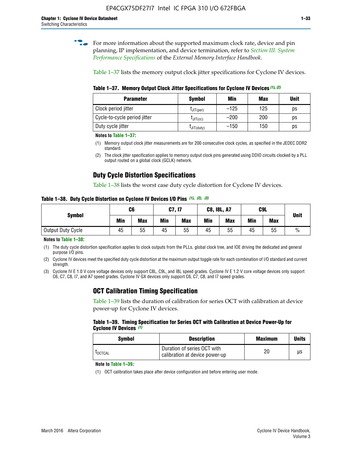**for more information about the supported maximum clock rate, device and pin** planning, IP implementation, and device termination, refer to *[Section III: System](http://www.altera.com/literature/hb/external-memory/emi_intro_specs.pdf)  [Performance Specifications](http://www.altera.com/literature/hb/external-memory/emi_intro_specs.pdf)* of the *External Memory Interface Handbook*.

Table 1–37 lists the memory output clock jitter specifications for Cyclone IV devices.

**Table 1–37. Memory Output Clock Jitter Specifications for Cyclone IV Devices** *(1)***,** *(2)*

| <b>Parameter</b>             | <b>Symbol</b>  | Min    | Max | <b>Unit</b> |
|------------------------------|----------------|--------|-----|-------------|
| Clock period jitter          | $L$ JIT(per)   | $-125$ | 125 | ps          |
| Cycle-to-cycle period jitter | $L$ JIT $(cc)$ | $-200$ | 200 | ps          |
| Duty cycle jitter            | LJIT(duty)     | $-150$ | 150 | ps          |

**Notes to Table 1–37:**

(1) Memory output clock jitter measurements are for 200 consecutive clock cycles, as specified in the JEDEC DDR2 standard.

## **Duty Cycle Distortion Specifications**

Table 1–38 lists the worst case duty cycle distortion for Cyclone IV devices.

**Table 1–38. Duty Cycle Distortion on Cyclone IV Devices I/O Pins** *(1)***,** *(2), (3)*

| <b>Symbol</b>     | C6  |            | C7, I7     |            | <b>C8, I8L, A7</b> |            |            | C9L        | <b>Unit</b>   |
|-------------------|-----|------------|------------|------------|--------------------|------------|------------|------------|---------------|
|                   | Min | <b>Max</b> | <b>Min</b> | <b>Max</b> | Min                | <b>Max</b> | <b>Min</b> | <b>Max</b> |               |
| Output Duty Cycle | 45  | 55         | 45         | 55         | 45                 | 55         | 45         | 55         | $\frac{0}{0}$ |

**Notes to Table 1–38:**

(1) The duty cycle distortion specification applies to clock outputs from the PLLs, global clock tree, and IOE driving the dedicated and general purpose I/O pins.

(2) Cyclone IV devices meet the specified duty cycle distortion at the maximum output toggle rate for each combination of I/O standard and current strength.

(3) Cyclone IV E 1.0 V core voltage devices only support C8L, C9L, and I8L speed grades. Cyclone IV E 1.2 V core voltage devices only support C6, C7, C8, I7, and A7 speed grades. Cyclone IV GX devices only support C6, C7, C8, and I7 speed grades.

## **OCT Calibration Timing Specification**

Table 1–39 lists the duration of calibration for series OCT with calibration at device power-up for Cyclone IV devices.

#### **Table 1–39. Timing Specification for Series OCT with Calibration at Device Power-Up for Cyclone IV Devices** *(1)*

| Symbol  | <b>Description</b>                                            | <b>Maximum</b> | <b>Units</b> |
|---------|---------------------------------------------------------------|----------------|--------------|
| LOCTCAL | Duration of series OCT with<br>calibration at device power-up | 20             | μs           |

#### **Note to Table 1–39***:*

(1) OCT calibration takes place after device configuration and before entering user mode.

<sup>(2)</sup> The clock jitter specification applies to memory output clock pins generated using DDIO circuits clocked by a PLL output routed on a global clock (GCLK) network.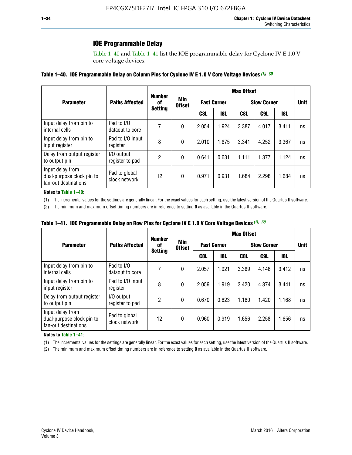### **IOE Programmable Delay**

Table 1–40 and Table 1–41 list the IOE programmable delay for Cyclone IV E 1.0 V core voltage devices.

#### **Table 1–40. IOE Programmable Delay on Column Pins for Cyclone IV E 1.0 V Core Voltage Devices** *(1)***,** *(2)*

|                                                                       |                                | <b>Number</b>  |                      |                    |            | <b>Max Offset</b>  |       |       |                      |  |  |
|-----------------------------------------------------------------------|--------------------------------|----------------|----------------------|--------------------|------------|--------------------|-------|-------|----------------------|--|--|
| <b>Parameter</b>                                                      | <b>Paths Affected</b>          | 0f             | Min<br><b>Offset</b> | <b>Fast Corner</b> |            | <b>Slow Corner</b> |       |       | <b>Unit</b>          |  |  |
|                                                                       |                                | <b>Setting</b> |                      | C8L                | <b>18L</b> | C8L                | C9L   | 18L   | ns<br>ns<br>ns<br>ns |  |  |
| Input delay from pin to<br>internal cells                             | Pad to I/O<br>dataout to core  |                | 0                    | 2.054              | 1.924      | 3.387              | 4.017 | 3.411 |                      |  |  |
| Input delay from pin to<br>input register                             | Pad to I/O input<br>register   | 8              | 0                    | 2.010              | 1.875      | 3.341              | 4.252 | 3.367 |                      |  |  |
| Delay from output register<br>to output pin                           | I/O output<br>register to pad  | 2              | 0                    | 0.641              | 0.631      | 1.111              | 1.377 | 1.124 |                      |  |  |
| Input delay from<br>dual-purpose clock pin to<br>fan-out destinations | Pad to global<br>clock network | 12             | 0                    | 0.971              | 0.931      | 1.684              | 2.298 | 1.684 |                      |  |  |

#### **Notes to Table 1–40:**

(1) The incremental values for the settings are generally linear. For the exact values for each setting, use the latest version of the Quartus II software.

(2) The minimum and maximum offset timing numbers are in reference to setting **0** as available in the Quartus II software.

| Table 1–41. IOE Programmable Delay on Row Pins for Cyclone IV E 1.0 V Core Voltage Devices (1), (2) |  |  |
|-----------------------------------------------------------------------------------------------------|--|--|
|-----------------------------------------------------------------------------------------------------|--|--|

|                                                                       |                                | <b>Number</b>  |                      |       |                    | <b>Max Offset</b> |                    |       |                      |
|-----------------------------------------------------------------------|--------------------------------|----------------|----------------------|-------|--------------------|-------------------|--------------------|-------|----------------------|
| <b>Parameter</b>                                                      | <b>Paths Affected</b>          | 0f             | Min<br><b>Offset</b> |       | <b>Fast Corner</b> |                   | <b>Slow Corner</b> |       | <b>Unit</b>          |
|                                                                       |                                | <b>Setting</b> |                      | C8L   | <b>18L</b>         | C8L               | C9L                | 18L   | ns<br>ns<br>ns<br>ns |
| Input delay from pin to<br>internal cells                             | Pad to I/O<br>dataout to core  |                | 0                    | 2.057 | 1.921              | 3.389             | 4.146              | 3.412 |                      |
| Input delay from pin to<br>input register                             | Pad to I/O input<br>register   | 8              | 0                    | 2.059 | 1.919              | 3.420             | 4.374              | 3.441 |                      |
| Delay from output register<br>to output pin                           | I/O output<br>register to pad  | 2              | 0                    | 0.670 | 0.623              | 1.160             | 1.420              | 1.168 |                      |
| Input delay from<br>dual-purpose clock pin to<br>fan-out destinations | Pad to global<br>clock network | 12             | 0                    | 0.960 | 0.919              | 1.656             | 2.258              | 1.656 |                      |

#### **Notes to Table 1–41:**

(1) The incremental values for the settings are generally linear. For the exact values for each setting, use the latest version of the Quartus II software.

(2) The minimum and maximum offset timing numbers are in reference to setting **0** as available in the Quartus II software.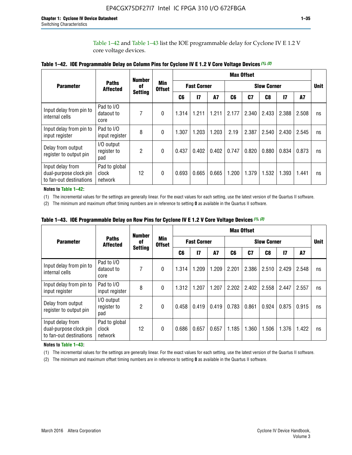Table 1–42 and Table 1–43 list the IOE programmable delay for Cyclone IV E 1.2 V core voltage devices.

|                                                                       |                                   | <b>Number</b>  |                             |       |                    |           |                    | <b>Max Offset</b> |                |               |       |             |
|-----------------------------------------------------------------------|-----------------------------------|----------------|-----------------------------|-------|--------------------|-----------|--------------------|-------------------|----------------|---------------|-------|-------------|
| <b>Parameter</b>                                                      | <b>Paths</b><br><b>Affected</b>   | of             | <b>Min</b><br><b>Offset</b> |       | <b>Fast Corner</b> |           | <b>Slow Corner</b> |                   |                |               |       | <b>Unit</b> |
|                                                                       |                                   | <b>Setting</b> |                             | C6    | $\overline{17}$    | <b>A7</b> | C6                 | C7                | C <sub>8</sub> | $\mathsf{I}7$ | A7    |             |
| Input delay from pin to<br>internal cells                             | Pad to I/O<br>dataout to<br>core  | 7              | $\mathbf{0}$                | 1.314 | 1.211              | 1.211     | 2.177              | 2.340             | 2.433          | 2.388         | 2.508 | ns          |
| Input delay from pin to<br>input register                             | Pad to I/O<br>input register      | 8              | $\theta$                    | 1.307 | 1.203              | 1.203     | 2.19               | 2.387             | 2.540          | 2.430         | 2.545 | ns          |
| Delay from output<br>register to output pin                           | I/O output<br>register to<br>pad  | 2              | 0                           | 0.437 | 0.402              | 0.402     | 0.747              | 0.820             | 0.880          | 0.834         | 0.873 | ns          |
| Input delay from<br>dual-purpose clock pin<br>to fan-out destinations | Pad to global<br>clock<br>network | 12             | 0                           | 0.693 | 0.665              | 0.665     | 1.200              | 1.379             | 1.532          | 1.393         | 1.441 | ns          |

| Table 1-42. IOE Programmable Delay on Column Pins for Cyclone IV E 1.2 V Core Voltage Devices (1), (2) |
|--------------------------------------------------------------------------------------------------------|
|--------------------------------------------------------------------------------------------------------|

**Notes to Table 1–42:**

(1) The incremental values for the settings are generally linear. For the exact values for each setting, use the latest version of the Quartus II software.

(2) The minimum and maximum offset timing numbers are in reference to setting **0** as available in the Quartus II software.

|                                                                       |                                   | <b>Number</b>  |                             |                    |       |           |                    | <b>Max Offset</b> |       |               |       |             |
|-----------------------------------------------------------------------|-----------------------------------|----------------|-----------------------------|--------------------|-------|-----------|--------------------|-------------------|-------|---------------|-------|-------------|
| <b>Parameter</b>                                                      | <b>Paths</b><br><b>Affected</b>   | of             | <b>Min</b><br><b>Offset</b> | <b>Fast Corner</b> |       |           | <b>Slow Corner</b> |                   |       |               |       | <b>Unit</b> |
|                                                                       |                                   | <b>Setting</b> |                             | C6                 | 17    | <b>A7</b> | C6                 | C7                | C8    | $\mathsf{I}7$ | A7    |             |
| Input delay from pin to<br>internal cells                             | Pad to I/O<br>dataout to<br>core  | 7              | 0                           | 1.314              | 1.209 | 1.209     | 2.201              | 2.386             | 2.510 | 2.429         | 2.548 | ns          |
| Input delay from pin to<br>input register                             | Pad to I/O<br>input register      | 8              | $\Omega$                    | 1.312              | 1.207 | 1.207     | 2.202              | 2.402             | 2.558 | 2.447         | 2.557 | ns          |
| Delay from output<br>register to output pin                           | I/O output<br>register to<br>pad  | 2              | $\Omega$                    | 0.458              | 0.419 | 0.419     | 0.783              | 0.861             | 0.924 | 0.875         | 0.915 | ns          |
| Input delay from<br>dual-purpose clock pin<br>to fan-out destinations | Pad to global<br>clock<br>network | 12             | 0                           | 0.686              | 0.657 | 0.657     | 1.185              | 1.360             | 1.506 | 1.376         | 1.422 | ns          |

**Table 1–43. IOE Programmable Delay on Row Pins for Cyclone IV E 1.2 V Core Voltage Devices** *(1)***,** *(2)*

#### **Notes to Table 1–43:**

(1) The incremental values for the settings are generally linear. For the exact values for each setting, use the latest version of the Quartus II software.

(2) The minimum and maximum offset timing numbers are in reference to setting **0** as available in the Quartus II software.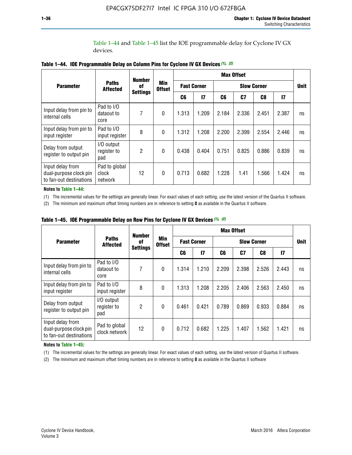Table 1–44 and Table 1–45 list the IOE programmable delay for Cyclone IV GX devices.

|                                                                       |                                   | <b>Number</b>   |                             |                    |              |                    | <b>Max Offset</b> |       |               |             |
|-----------------------------------------------------------------------|-----------------------------------|-----------------|-----------------------------|--------------------|--------------|--------------------|-------------------|-------|---------------|-------------|
| <b>Parameter</b>                                                      | <b>Paths</b><br><b>Affected</b>   | 0f              | <b>Min</b><br><b>Offset</b> | <b>Fast Corner</b> |              | <b>Slow Corner</b> |                   |       |               | <b>Unit</b> |
|                                                                       |                                   | <b>Settings</b> |                             | C6                 | $\mathbf{I}$ | C6                 | C7                | C8    | $\mathsf{I}7$ |             |
| Input delay from pin to<br>internal cells                             | Pad to I/O<br>dataout to<br>core  | 7               | $\mathbf{0}$                | 1.313              | 1.209        | 2.184              | 2.336             | 2.451 | 2.387         | ns          |
| Input delay from pin to<br>input register                             | Pad to I/O<br>input register      | 8               | $\theta$                    | 1.312              | 1.208        | 2.200              | 2.399             | 2.554 | 2.446         | ns          |
| Delay from output<br>register to output pin                           | I/O output<br>register to<br>pad  | 2               | $\mathbf 0$                 | 0.438              | 0.404        | 0.751              | 0.825             | 0.886 | 0.839         | ns          |
| Input delay from<br>dual-purpose clock pin<br>to fan-out destinations | Pad to global<br>clock<br>network | 12              | 0                           | 0.713              | 0.682        | 1.228              | 1.41              | 1.566 | 1.424         | ns          |

**Table 1–44. IOE Programmable Delay on Column Pins for Cyclone IV GX Devices** *(1)***,** *(2)*

**Notes to Table 1–44:**

(1) The incremental values for the settings are generally linear. For exact values of each setting, use the latest version of the Quartus II software.

(2) The minimum and maximum offset timing numbers are in reference to setting **0** as available in the Quartus II software.

|                                                                       |                                  | <b>Number</b>   |                             |                    |       |       | <b>Max Offset</b> |       |               |    |  |
|-----------------------------------------------------------------------|----------------------------------|-----------------|-----------------------------|--------------------|-------|-------|-------------------|-------|---------------|----|--|
| <b>Parameter</b>                                                      | <b>Paths</b><br><b>Affected</b>  | 0f              | <b>Min</b><br><b>Offset</b> | <b>Fast Corner</b> |       |       | <b>Unit</b>       |       |               |    |  |
|                                                                       |                                  | <b>Settings</b> |                             | C6                 | 17    | C6    | C7                | C8    | $\mathsf{I}7$ |    |  |
| Input delay from pin to<br>internal cells                             | Pad to I/O<br>dataout to<br>core | 7               | $\mathbf{0}$                | 1.314              | 1.210 | 2.209 | 2.398             | 2.526 | 2.443         | ns |  |
| Input delay from pin to<br>input register                             | Pad to I/O<br>input register     | 8               | $\mathbf{0}$                | 1.313              | 1.208 | 2.205 | 2.406             | 2.563 | 2.450         | ns |  |
| Delay from output<br>register to output pin                           | I/O output<br>register to<br>pad | $\overline{2}$  | $\mathbf{0}$                | 0.461              | 0.421 | 0.789 | 0.869             | 0.933 | 0.884         | ns |  |
| Input delay from<br>dual-purpose clock pin<br>to fan-out destinations | Pad to global<br>clock network   | 12              | 0                           | 0.712              | 0.682 | 1.225 | 1.407             | 1.562 | 1.421         | ns |  |

**Table 1–45. IOE Programmable Delay on Row Pins for Cyclone IV GX Devices** *(1)***,** *(2)*

#### **Notes to Table 1–45:**

(1) The incremental values for the settings are generally linear. For exact values of each setting, use the latest version of Quartus II software.

(2) The minimum and maximum offset timing numbers are in reference to setting **0** as available in the Quartus II software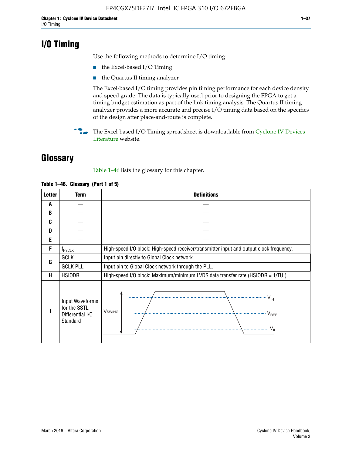## **I/O Timing**

Use the following methods to determine I/O timing:

- the Excel-based I/O Timing
- the Quartus II timing analyzer

The Excel-based I/O timing provides pin timing performance for each device density and speed grade. The data is typically used prior to designing the FPGA to get a timing budget estimation as part of the link timing analysis. The Quartus II timing analyzer provides a more accurate and precise I/O timing data based on the specifics of the design after place-and-route is complete.

**For The Excel-based I/O Timing spreadsheet is downloadable from Cyclone IV Devices** [Literature](http://www.altera.com/literature/lit-cyclone-iv.jsp) website.

## **Glossary**

Table 1–46 lists the glossary for this chapter.

| <b>Letter</b> | <b>Term</b>                                                     | <b>Definitions</b>                                                                                                                               |  |  |  |  |  |  |  |  |
|---------------|-----------------------------------------------------------------|--------------------------------------------------------------------------------------------------------------------------------------------------|--|--|--|--|--|--|--|--|
| A             |                                                                 |                                                                                                                                                  |  |  |  |  |  |  |  |  |
| B             |                                                                 |                                                                                                                                                  |  |  |  |  |  |  |  |  |
| C             |                                                                 |                                                                                                                                                  |  |  |  |  |  |  |  |  |
| D             |                                                                 |                                                                                                                                                  |  |  |  |  |  |  |  |  |
| E             |                                                                 |                                                                                                                                                  |  |  |  |  |  |  |  |  |
| F             | $f_{\sf HSCLK}$                                                 | High-speed I/O block: High-speed receiver/transmitter input and output clock frequency.                                                          |  |  |  |  |  |  |  |  |
| G             | <b>GCLK</b>                                                     | Input pin directly to Global Clock network.                                                                                                      |  |  |  |  |  |  |  |  |
|               | <b>GCLK PLL</b>                                                 | Input pin to Global Clock network through the PLL.                                                                                               |  |  |  |  |  |  |  |  |
| н             | <b>HSIODR</b>                                                   | High-speed I/O block: Maximum/minimum LVDS data transfer rate (HSIODR = 1/TUI).                                                                  |  |  |  |  |  |  |  |  |
|               | Input Waveforms<br>for the SSTL<br>Differential I/O<br>Standard | $\frac{1}{\sqrt{1+\frac{1}{2}}}\left\{ \frac{1}{\sqrt{1+\frac{1}{2}}}\right\}$<br><b>V</b> swing<br>$\cdots$ $V_{REF}$<br>\<br>$\sim V_{\rm IL}$ |  |  |  |  |  |  |  |  |

#### **Table 1–46. Glossary (Part 1 of 5)**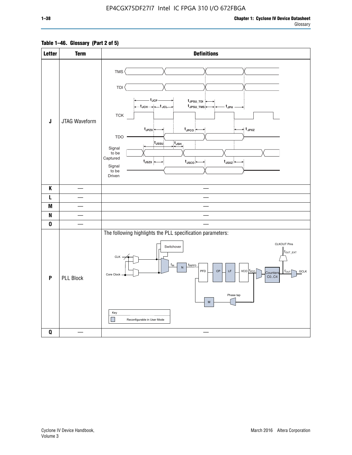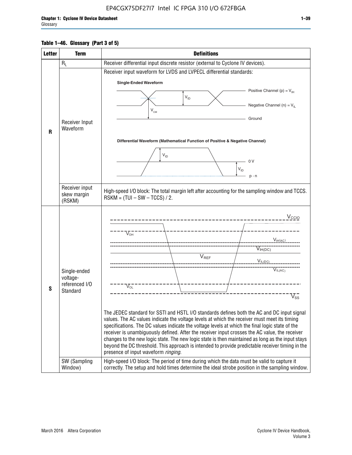#### **Table 1–46. Glossary (Part 3 of 5)**

| <b>Letter</b> | <b>Term</b>                                                            | <b>Definitions</b>                                                                                                                                                                                                                                                                                                                                                                                                                                                                                                                                                                                                                                                                                                                                                                                                                                                                                                      |
|---------------|------------------------------------------------------------------------|-------------------------------------------------------------------------------------------------------------------------------------------------------------------------------------------------------------------------------------------------------------------------------------------------------------------------------------------------------------------------------------------------------------------------------------------------------------------------------------------------------------------------------------------------------------------------------------------------------------------------------------------------------------------------------------------------------------------------------------------------------------------------------------------------------------------------------------------------------------------------------------------------------------------------|
|               | $R_L$                                                                  | Receiver differential input discrete resistor (external to Cyclone IV devices).                                                                                                                                                                                                                                                                                                                                                                                                                                                                                                                                                                                                                                                                                                                                                                                                                                         |
|               |                                                                        | Receiver input waveform for LVDS and LVPECL differential standards:                                                                                                                                                                                                                                                                                                                                                                                                                                                                                                                                                                                                                                                                                                                                                                                                                                                     |
|               |                                                                        | <b>Single-Ended Waveform</b>                                                                                                                                                                                                                                                                                                                                                                                                                                                                                                                                                                                                                                                                                                                                                                                                                                                                                            |
|               |                                                                        | Positive Channel (p) = $V_{\text{H}}$                                                                                                                                                                                                                                                                                                                                                                                                                                                                                                                                                                                                                                                                                                                                                                                                                                                                                   |
|               |                                                                        | $V_{ID}$                                                                                                                                                                                                                                                                                                                                                                                                                                                                                                                                                                                                                                                                                                                                                                                                                                                                                                                |
|               |                                                                        | Negative Channel (n) = $V_{\parallel}$<br>$V_{CM}$                                                                                                                                                                                                                                                                                                                                                                                                                                                                                                                                                                                                                                                                                                                                                                                                                                                                      |
|               | Receiver Input                                                         | Ground                                                                                                                                                                                                                                                                                                                                                                                                                                                                                                                                                                                                                                                                                                                                                                                                                                                                                                                  |
| $\mathbf{R}$  | Waveform                                                               |                                                                                                                                                                                                                                                                                                                                                                                                                                                                                                                                                                                                                                                                                                                                                                                                                                                                                                                         |
|               |                                                                        | Differential Waveform (Mathematical Function of Positive & Negative Channel)                                                                                                                                                                                                                                                                                                                                                                                                                                                                                                                                                                                                                                                                                                                                                                                                                                            |
|               |                                                                        |                                                                                                                                                                                                                                                                                                                                                                                                                                                                                                                                                                                                                                                                                                                                                                                                                                                                                                                         |
|               |                                                                        | $V_{ID}$<br>0 <sup>V</sup>                                                                                                                                                                                                                                                                                                                                                                                                                                                                                                                                                                                                                                                                                                                                                                                                                                                                                              |
|               |                                                                        | $V_{ID}$                                                                                                                                                                                                                                                                                                                                                                                                                                                                                                                                                                                                                                                                                                                                                                                                                                                                                                                |
|               |                                                                        | $p - n$                                                                                                                                                                                                                                                                                                                                                                                                                                                                                                                                                                                                                                                                                                                                                                                                                                                                                                                 |
|               | Receiver input<br>skew margin                                          | High-speed I/O block: The total margin left after accounting for the sampling window and TCCS.                                                                                                                                                                                                                                                                                                                                                                                                                                                                                                                                                                                                                                                                                                                                                                                                                          |
|               | (RSKM)                                                                 | $RSKM = (TUI - SW - TCCS) / 2.$                                                                                                                                                                                                                                                                                                                                                                                                                                                                                                                                                                                                                                                                                                                                                                                                                                                                                         |
| S             | Single-ended<br>voltage-<br>referenced I/O<br>Standard<br>SW (Sampling | $V_{CCIO}$<br>$V_{\text{\tiny OH}}^-$<br>V <sub>IH</sub> (AC)<br>$V_{IH(DC)}$<br>V <sub>REF</sub><br>$V_{I L (DC)}$<br>$\overline{V}_{IL(AC)}$<br>$V_{OL}$<br>$V_{ss}$<br>The JEDEC standard for SSTI and HSTL I/O standards defines both the AC and DC input signal<br>values. The AC values indicate the voltage levels at which the receiver must meet its timing<br>specifications. The DC values indicate the voltage levels at which the final logic state of the<br>receiver is unambiguously defined. After the receiver input crosses the AC value, the receiver<br>changes to the new logic state. The new logic state is then maintained as long as the input stays<br>beyond the DC threshold. This approach is intended to provide predictable receiver timing in the<br>presence of input waveform ringing.<br>High-speed I/O block: The period of time during which the data must be valid to capture it |
|               | Window)                                                                | correctly. The setup and hold times determine the ideal strobe position in the sampling window.                                                                                                                                                                                                                                                                                                                                                                                                                                                                                                                                                                                                                                                                                                                                                                                                                         |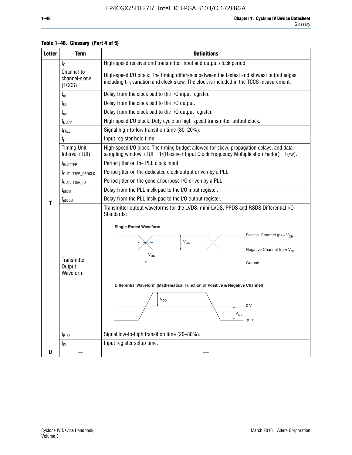| <b>Letter</b> | <b>Term</b>                           | <b>Definitions</b>                                                                                                                                                                                                                                                                                                                                              |
|---------------|---------------------------------------|-----------------------------------------------------------------------------------------------------------------------------------------------------------------------------------------------------------------------------------------------------------------------------------------------------------------------------------------------------------------|
|               | $t_{C}$                               | High-speed receiver and transmitter input and output clock period.                                                                                                                                                                                                                                                                                              |
|               | Channel-to-<br>channel-skew<br>(TCCS) | High-speed I/O block: The timing difference between the fastest and slowest output edges,<br>including t <sub>co</sub> variation and clock skew. The clock is included in the TCCS measurement.                                                                                                                                                                 |
|               | $t_{\text{cin}}$                      | Delay from the clock pad to the I/O input register.                                                                                                                                                                                                                                                                                                             |
|               | $t_{CO}$                              | Delay from the clock pad to the I/O output.                                                                                                                                                                                                                                                                                                                     |
|               | $t_{\text{cout}}$                     | Delay from the clock pad to the I/O output register.                                                                                                                                                                                                                                                                                                            |
|               | t <sub>DUTY</sub>                     | High-speed I/O block: Duty cycle on high-speed transmitter output clock.                                                                                                                                                                                                                                                                                        |
|               | $t_{FALL}$                            | Signal high-to-low transition time (80-20%).                                                                                                                                                                                                                                                                                                                    |
|               | $t_H$                                 | Input register hold time.                                                                                                                                                                                                                                                                                                                                       |
|               | <b>Timing Unit</b><br>Interval (TUI)  | High-speed I/O block: The timing budget allowed for skew, propagation delays, and data<br>sampling window. (TUI = $1/($ Receiver Input Clock Frequency Multiplication Factor) = $tC/w$ ).                                                                                                                                                                       |
|               | t <sub>INJITTER</sub>                 | Period jitter on the PLL clock input.                                                                                                                                                                                                                                                                                                                           |
|               | t <sub>outjitter_dedclk</sub>         | Period jitter on the dedicated clock output driven by a PLL.                                                                                                                                                                                                                                                                                                    |
|               | t <sub>outjitter_io</sub>             | Period jitter on the general purpose I/O driven by a PLL.                                                                                                                                                                                                                                                                                                       |
|               | $t_{\text{pllcin}}$                   | Delay from the PLL inclk pad to the I/O input register.                                                                                                                                                                                                                                                                                                         |
| т             | $t_{\text{pll}$ cout                  | Delay from the PLL inclk pad to the I/O output register.                                                                                                                                                                                                                                                                                                        |
|               | Transmitter<br>Output<br>Waveform     | Transmitter output waveforms for the LVDS, mini-LVDS, PPDS and RSDS Differential I/O<br>Standards:<br><b>Single-Ended Waveform</b><br>Positive Channel (p) = $V_{OH}$<br>VOD<br>Negative Channel (n) = $V_{OL}$<br>$V_{OS}$<br>Ground<br>Differential Waveform (Mathematical Function of Positive & Negative Channel)<br>$V_{OD}$<br>0 V<br>$V_{OD}$<br>$p - n$ |
|               | $t_{\text{RISE}}$                     | Signal low-to-high transition time (20-80%).                                                                                                                                                                                                                                                                                                                    |
|               | $t_{\scriptstyle\text{SU}}$           | Input register setup time.                                                                                                                                                                                                                                                                                                                                      |
| U             |                                       |                                                                                                                                                                                                                                                                                                                                                                 |

#### **Table 1–46. Glossary (Part 4 of 5)**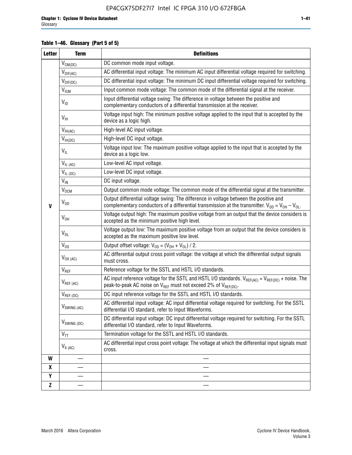#### **Table 1–46. Glossary (Part 5 of 5)**

| <b>Letter</b> | <b>Term</b>               | <b>Definitions</b>                                                                                                                                                                                |
|---------------|---------------------------|---------------------------------------------------------------------------------------------------------------------------------------------------------------------------------------------------|
|               | $V_{CM(DC)}$              | DC common mode input voltage.                                                                                                                                                                     |
|               | $V_{DIF(AC)}$             | AC differential input voltage: The minimum AC input differential voltage required for switching.                                                                                                  |
|               | $V_{DIF(DC)}$             | DC differential input voltage: The minimum DC input differential voltage required for switching.                                                                                                  |
|               | V <sub>ICM</sub>          | Input common mode voltage: The common mode of the differential signal at the receiver.                                                                                                            |
|               | $V_{ID}$                  | Input differential voltage swing: The difference in voltage between the positive and<br>complementary conductors of a differential transmission at the receiver.                                  |
|               | $V_{\text{IH}}$           | Voltage input high: The minimum positive voltage applied to the input that is accepted by the<br>device as a logic high.                                                                          |
|               | $V_{IH(AC)}$              | High-level AC input voltage.                                                                                                                                                                      |
|               | $V_{IH(DC)}$              | High-level DC input voltage.                                                                                                                                                                      |
|               | $V_{IL}$                  | Voltage input low: The maximum positive voltage applied to the input that is accepted by the<br>device as a logic low.                                                                            |
|               | $V_{IL(AC)}$              | Low-level AC input voltage.                                                                                                                                                                       |
|               | $V_{IL(DC)}$              | Low-level DC input voltage.                                                                                                                                                                       |
|               | $V_{\text{IN}}$           | DC input voltage.                                                                                                                                                                                 |
|               | $V_{OCM}$                 | Output common mode voltage: The common mode of the differential signal at the transmitter.                                                                                                        |
| $\mathbf{V}$  | $V_{OD}$                  | Output differential voltage swing: The difference in voltage between the positive and<br>complementary conductors of a differential transmission at the transmitter. $V_{OD} = V_{OH} - V_{OL}$ . |
|               | $V_{OH}$                  | Voltage output high: The maximum positive voltage from an output that the device considers is<br>accepted as the minimum positive high level.                                                     |
|               | $V_{OL}$                  | Voltage output low: The maximum positive voltage from an output that the device considers is<br>accepted as the maximum positive low level.                                                       |
|               | $V_{OS}$                  | Output offset voltage: $V_{OS} = (V_{OH} + V_{OL}) / 2$ .                                                                                                                                         |
|               | $V_{OX (AC)}$             | AC differential output cross point voltage: the voltage at which the differential output signals<br>must cross.                                                                                   |
|               | V <sub>REF</sub>          | Reference voltage for the SSTL and HSTL I/O standards.                                                                                                                                            |
|               | $V_{REF\,(AC)}$           | AC input reference voltage for the SSTL and HSTL I/O standards. $V_{REF(AC)} = V_{REF(DC)} +$ noise. The<br>peak-to-peak AC noise on $V_{REF}$ must not exceed 2% of $V_{REF(DC)}$ .              |
|               | $V_{REF(DC)}$             | DC input reference voltage for the SSTL and HSTL I/O standards.                                                                                                                                   |
|               | $V_{\textrm{SWING (AC)}}$ | AC differential input voltage: AC input differential voltage required for switching. For the SSTL<br>differential I/O standard, refer to Input Waveforms.                                         |
|               | $V_{SWING (DC)}$          | DC differential input voltage: DC input differential voltage required for switching. For the SSTL<br>differential I/O standard, refer to Input Waveforms.                                         |
|               | $V_{TT}$                  | Termination voltage for the SSTL and HSTL I/O standards.                                                                                                                                          |
|               | $V_{X(AC)}$               | AC differential input cross point voltage: The voltage at which the differential input signals must<br>cross.                                                                                     |
| W             |                           |                                                                                                                                                                                                   |
| X             |                           |                                                                                                                                                                                                   |
| Υ             |                           |                                                                                                                                                                                                   |
| Z             |                           |                                                                                                                                                                                                   |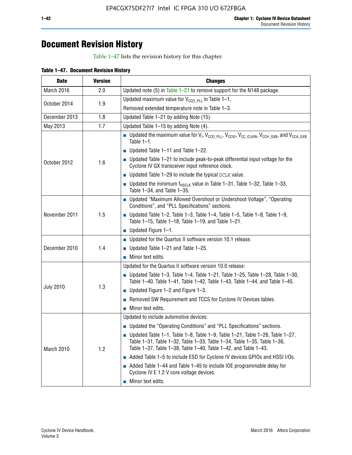## **Document Revision History**

Table 1–47 lists the revision history for this chapter.

| <b>Date</b>      | <b>Version</b> | <b>Changes</b>                                                                                                                                                                                                                            |
|------------------|----------------|-------------------------------------------------------------------------------------------------------------------------------------------------------------------------------------------------------------------------------------------|
| March 2016       | 2.0            | Updated note (5) in Table $1-21$ to remove support for the N148 package.                                                                                                                                                                  |
| October 2014     | 1.9            | Updated maximum value for $V_{CCD, PL}$ in Table 1-1.                                                                                                                                                                                     |
|                  |                | Removed extended temperature note in Table 1-3.                                                                                                                                                                                           |
| December 2013    | 1.8            | Updated Table 1-21 by adding Note (15).                                                                                                                                                                                                   |
| May 2013         | 1.7            | Updated Table 1-15 by adding Note (4).                                                                                                                                                                                                    |
| October 2012     | 1.6            | <b>D</b> Updated the maximum value for $V_1$ , $V_{CCD}$ <sub>PLL</sub> , $V_{CC10}$ , $V_{CC_1CLKIN}$ , $V_{CCH_GXB}$ , and $V_{CCA_GXB}$<br>Table $1-1$ .                                                                               |
|                  |                | $\blacksquare$ Updated Table 1-11 and Table 1-22.                                                                                                                                                                                         |
|                  |                | $\blacksquare$ Updated Table 1-21 to include peak-to-peak differential input voltage for the<br>Cyclone IV GX transceiver input reference clock.                                                                                          |
|                  |                | $\blacksquare$ Updated Table 1-29 to include the typical DCLK value.                                                                                                                                                                      |
|                  |                | <b>Updated the minimum f<sub>HSCLK</sub></b> value in Table 1-31, Table 1-32, Table 1-33,<br>Table 1-34, and Table 1-35.                                                                                                                  |
| November 2011    | 1.5            | ■ Updated "Maximum Allowed Overshoot or Undershoot Voltage", "Operating<br>Conditions", and "PLL Specifications" sections.                                                                                                                |
|                  |                | Updated Table 1-2, Table 1-3, Table 1-4, Table 1-5, Table 1-8, Table 1-9,<br>Table 1-15, Table 1-18, Table 1-19, and Table 1-21.                                                                                                          |
|                  |                | ■ Updated Figure $1-1$ .                                                                                                                                                                                                                  |
|                  | 1.4            | • Updated for the Quartus II software version 10.1 release.                                                                                                                                                                               |
| December 2010    |                | $\blacksquare$ Updated Table 1-21 and Table 1-25.                                                                                                                                                                                         |
|                  |                | $\blacksquare$ Minor text edits.                                                                                                                                                                                                          |
|                  | 1.3            | Updated for the Quartus II software version 10.0 release:                                                                                                                                                                                 |
| <b>July 2010</b> |                | Updated Table 1-3, Table 1-4, Table 1-21, Table 1-25, Table 1-28, Table 1-30,<br>Table 1-40, Table 1-41, Table 1-42, Table 1-43, Table 1-44, and Table 1-45.                                                                              |
|                  |                | ■ Updated Figure $1-2$ and Figure $1-3$ .                                                                                                                                                                                                 |
|                  |                | Removed SW Requirement and TCCS for Cyclone IV Devices tables.                                                                                                                                                                            |
|                  |                | $\blacksquare$ Minor text edits.                                                                                                                                                                                                          |
|                  | 1.2            | Updated to include automotive devices:                                                                                                                                                                                                    |
| March 2010       |                | • Updated the "Operating Conditions" and "PLL Specifications" sections.                                                                                                                                                                   |
|                  |                | $\blacksquare$ Updated Table 1-1, Table 1-8, Table 1-9, Table 1-21, Table 1-26, Table 1-27,<br>Table 1-31, Table 1-32, Table 1-33, Table 1-34, Table 1-35, Table 1-36,<br>Table 1-37, Table 1-38, Table 1-40, Table 1-42, and Table 1-43. |
|                  |                | Added Table 1-5 to include ESD for Cyclone IV devices GPIOs and HSSI I/Os.                                                                                                                                                                |
|                  |                | Added Table 1-44 and Table 1-45 to include IOE programmable delay for<br>Cyclone IV E 1.2 V core voltage devices.                                                                                                                         |
|                  |                | Minor text edits.                                                                                                                                                                                                                         |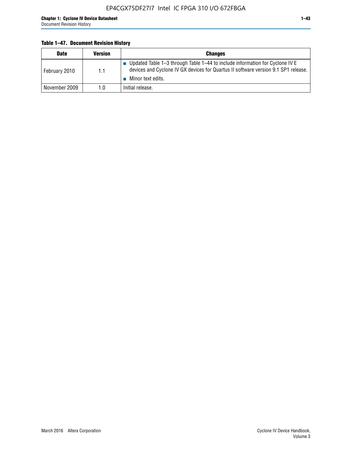#### **Table 1–47. Document Revision History**

| <b>Date</b>   | <b>Version</b> | <b>Changes</b>                                                                                                                                                                          |
|---------------|----------------|-----------------------------------------------------------------------------------------------------------------------------------------------------------------------------------------|
| February 2010 | 1.1            | Updated Table 1-3 through Table 1-44 to include information for Cyclone IV E<br>devices and Cyclone IV GX devices for Quartus II software version 9.1 SP1 release.<br>Minor text edits. |
| November 2009 | 1.0            | Initial release.                                                                                                                                                                        |